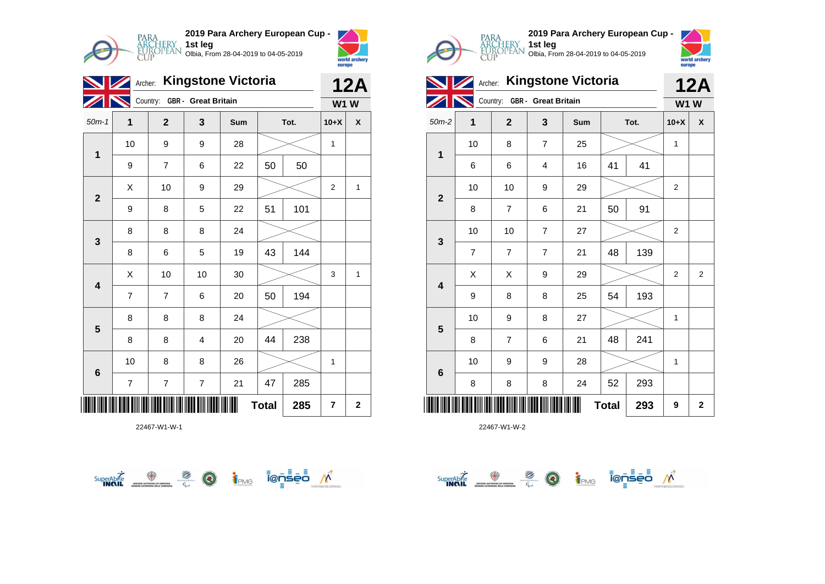

|                          | <b>Kingstone Victoria</b><br>Archer: |                |                            |     |    |      |                |              |  |
|--------------------------|--------------------------------------|----------------|----------------------------|-----|----|------|----------------|--------------|--|
|                          |                                      | Country:       | <b>GBR</b> - Great Britain |     |    |      | <b>W1W</b>     |              |  |
| $50m-1$                  | $\mathbf 1$                          | $\mathbf{2}$   | 3                          | Sum |    | Tot. | $10+X$         | X            |  |
| $\overline{\mathbf{1}}$  | 10                                   | 9              | 9                          | 28  |    |      | 1              |              |  |
|                          | 9                                    | 7              | 6                          | 22  | 50 | 50   |                |              |  |
| $\mathbf{2}$             | X                                    | 10             | 9                          | 29  |    |      | $\overline{2}$ | $\mathbf{1}$ |  |
|                          | 9                                    | 8              | 5                          | 22  | 51 | 101  |                |              |  |
| 3                        | 8                                    | 8              | 8                          | 24  |    |      |                |              |  |
|                          | 8                                    | 6              | 5                          | 19  | 43 | 144  |                |              |  |
| $\overline{\mathbf{4}}$  | X                                    | 10             | 10                         | 30  |    |      | 3              | 1            |  |
|                          | 7                                    | $\overline{7}$ | 6                          | 20  | 50 | 194  |                |              |  |
| 5                        | 8                                    | 8              | 8                          | 24  |    |      |                |              |  |
|                          | 8                                    | 8              | 4                          | 20  | 44 | 238  |                |              |  |
| 6                        | 10                                   | 8              | 8                          | 26  |    |      | 1              |              |  |
|                          | $\overline{7}$                       | $\overline{7}$ | $\overline{7}$             | 21  | 47 | 285  |                |              |  |
| <b>Total</b><br>285<br>7 |                                      |                |                            |     |    |      |                |              |  |









**1st leg**

| $50m-2$                                                             | 1  | $\mathbf 2$              | 3                       | Sum | Tot. |     | $10+X$           | $\pmb{\mathsf{x}}$ |
|---------------------------------------------------------------------|----|--------------------------|-------------------------|-----|------|-----|------------------|--------------------|
| $\mathbf 1$                                                         | 10 | 8                        | $\boldsymbol{7}$        | 25  |      |     | 1                |                    |
|                                                                     | 6  | 6                        | $\overline{\mathbf{4}}$ | 16  | 41   | 41  |                  |                    |
| $\mathbf{2}$                                                        | 10 | 10                       | $\boldsymbol{9}$        | 29  |      |     | $\boldsymbol{2}$ |                    |
|                                                                     | 8  | $\overline{\mathcal{I}}$ | 6                       | 21  | 50   | 91  |                  |                    |
| $\mathbf{3}$                                                        | 10 | 10                       | $\boldsymbol{7}$        | 27  |      |     | $\mathbf 2$      |                    |
|                                                                     | 7  | $\overline{\mathcal{I}}$ | $\overline{7}$          | 21  | 48   | 139 |                  |                    |
| $\overline{\mathbf{4}}$                                             | X  | Χ                        | $\boldsymbol{9}$        | 29  |      |     | $\overline{c}$   | $\overline{c}$     |
|                                                                     | 9  | 8                        | 8                       | 25  | 54   | 193 |                  |                    |
| $5\phantom{1}$                                                      | 10 | 9                        | 8                       | 27  |      |     | 1                |                    |
|                                                                     | 8  | $\overline{7}$           | 6                       | 21  | 48   | 241 |                  |                    |
| $\bf 6$                                                             | 10 | 9                        | 9                       | 28  |      |     | 1                |                    |
|                                                                     | 8  | 8                        | 8                       | 24  | 52   | 293 |                  |                    |
| <u> III    III                     </u><br>Ш<br><b>Total</b><br>293 |    |                          |                         |     |      |     | 9                | $\mathbf 2$        |

 $\overbrace{\phantom{\mathsf{supp}}^{\mathsf{supp}}\mathsf{A}\mathsf{D}\mathsf{D}}^{\mathsf{supp}}$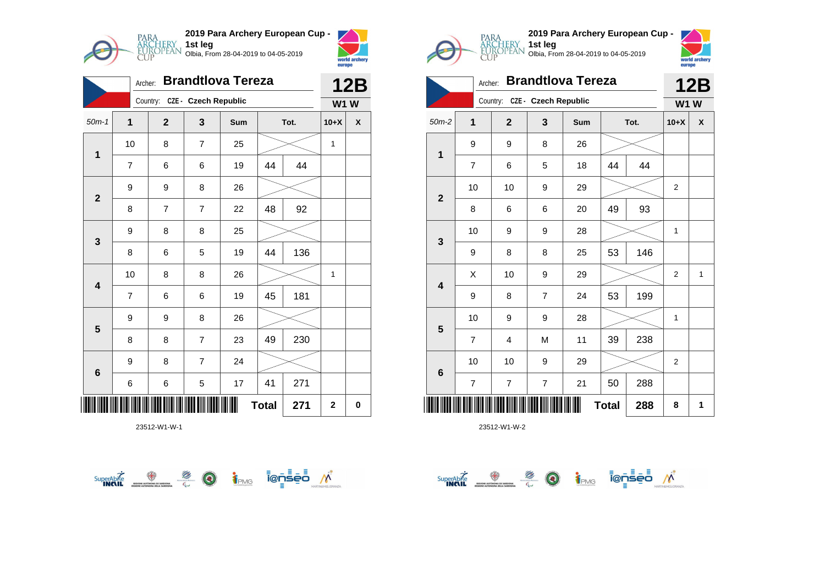

| <b>Brandtlova Tereza</b><br>Archer: |                         |                |                      |     |    |      |             | <b>12B</b> |  |
|-------------------------------------|-------------------------|----------------|----------------------|-----|----|------|-------------|------------|--|
|                                     |                         | Country:       | CZE - Czech Republic |     |    |      | <b>W1 W</b> |            |  |
| $50m-1$                             | $\overline{\mathbf{1}}$ | $\mathbf{2}$   | 3                    | Sum |    | Tot. | $10+X$      | X          |  |
| $\mathbf{1}$                        | 10                      | 8              | $\overline{7}$       | 25  |    |      | 1           |            |  |
|                                     | 7                       | 6              | 6                    | 19  | 44 | 44   |             |            |  |
| $\mathbf{2}$                        | 9                       | 9              | 8                    | 26  |    |      |             |            |  |
|                                     | 8                       | $\overline{7}$ | $\overline{7}$       | 22  | 48 | 92   |             |            |  |
| 3                                   | 9                       | 8              | 8                    | 25  |    |      |             |            |  |
|                                     | 8                       | 6              | 5                    | 19  | 44 | 136  |             |            |  |
| 4                                   | 10                      | 8              | 8                    | 26  |    |      | 1           |            |  |
|                                     | 7                       | 6              | 6                    | 19  | 45 | 181  |             |            |  |
| 5                                   | 9                       | 9              | 8                    | 26  |    |      |             |            |  |
|                                     | 8                       | 8              | $\overline{7}$       | 23  | 49 | 230  |             |            |  |
| 6                                   | 9                       | 8              | $\overline{7}$       | 24  |    |      |             |            |  |
|                                     | 6                       | 6              | 5                    | 17  | 41 | 271  |             |            |  |
| <b>Total</b><br>271<br>$\mathbf 2$  |                         |                |                      |     |    |      |             | 0          |  |







| <b>Brandtlova Tereza</b><br>Archer: |                |                               |                |     |              |      |                | <b>12B</b>   |  |
|-------------------------------------|----------------|-------------------------------|----------------|-----|--------------|------|----------------|--------------|--|
|                                     |                | Country: CZE - Czech Republic |                |     |              |      | <b>W1W</b>     |              |  |
| $50m-2$                             | $\overline{1}$ | $\mathbf{2}$                  | 3              | Sum |              | Tot. | $10+X$         | X            |  |
| 1                                   | 9              | 9                             | 8              | 26  |              |      |                |              |  |
|                                     | $\overline{7}$ | 6                             | 5              | 18  | 44           | 44   |                |              |  |
| $\mathbf{2}$                        | 10             | 10                            | 9              | 29  |              |      | $\overline{2}$ |              |  |
|                                     | 8              | 6                             | 6              | 20  | 49           | 93   |                |              |  |
| $\mathbf{3}$                        | 10             | 9                             | 9              | 28  |              |      | 1              |              |  |
|                                     | 9              | 8                             | 8              | 25  | 53           | 146  |                |              |  |
| $\overline{\mathbf{4}}$             | X              | 10                            | 9              | 29  |              |      | $\overline{2}$ | $\mathbf{1}$ |  |
|                                     | 9              | 8                             | $\overline{7}$ | 24  | 53           | 199  |                |              |  |
| 5                                   | 10             | 9                             | 9              | 28  |              |      | 1              |              |  |
|                                     | $\overline{7}$ | 4                             | M              | 11  | 39           | 238  |                |              |  |
| $\bf 6$                             | 10             | 10                            | 9              | 29  |              |      | $\overline{c}$ |              |  |
|                                     | 7              | 7                             | 7              | 21  | 50           | 288  |                |              |  |
| ║║║                                 |                |                               |                |     | <b>Total</b> | 288  | 8              | 1            |  |

 $\overbrace{\text{supexch}}^{\text{Supexch}} \overbrace{\text{supex}}^{\text{opex}} \overbrace{\text{supexch}}^{\text{opex}} \overbrace{\text{supexch}}^{\text{opex}} \overbrace{\text{supexch}}^{\text{opex}} \overbrace{\text{supexch}}^{\text{opex}}$ 

**1st leg**

Olbia, From 28-04-2019 to 04-05-2019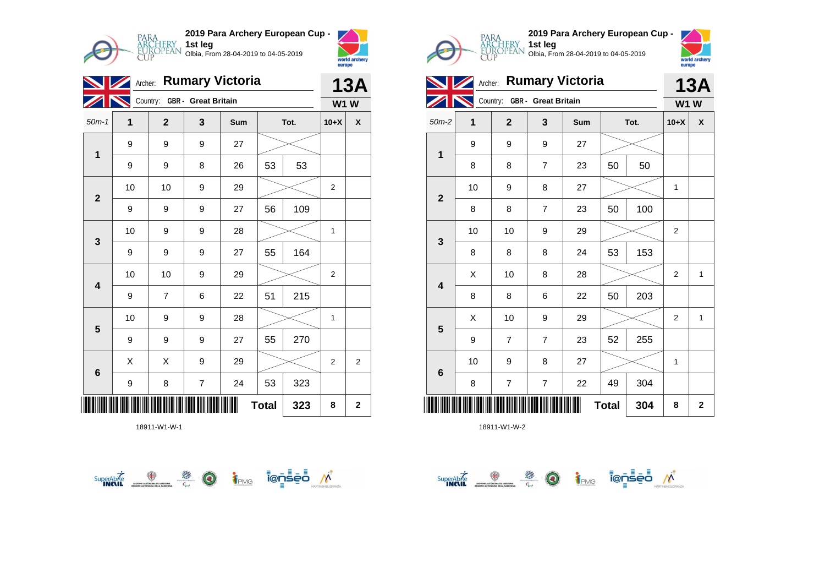

|                          |    | <b>13A</b>                   |                         |     |    |      |                |   |
|--------------------------|----|------------------------------|-------------------------|-----|----|------|----------------|---|
|                          |    | Country: GBR - Great Britain |                         |     |    |      | <b>W1W</b>     |   |
| $50m-1$                  | 1  | $\mathbf{2}$                 | 3                       | Sum |    | Tot. | $10+X$         | χ |
| $\overline{1}$           | 9  | 9                            | 9                       | 27  |    |      |                |   |
|                          | 9  | 9                            | 8                       | 26  | 53 | 53   |                |   |
| $\mathbf{2}$             | 10 | 10                           | 9                       | 29  |    |      | $\overline{2}$ |   |
|                          | 9  | 9                            | 9                       | 27  | 56 | 109  |                |   |
| 3                        | 10 | 9                            | 9                       | 28  |    |      | $\mathbf{1}$   |   |
|                          | 9  | 9                            | 9                       | 27  | 55 | 164  |                |   |
| 4                        | 10 | 10                           | 9                       | 29  |    |      | 2              |   |
|                          | 9  | $\overline{7}$               | 6                       | 22  | 51 | 215  |                |   |
| $5\phantom{1}$           | 10 | 9                            | 9                       | 28  |    |      | $\mathbf{1}$   |   |
|                          | 9  | 9                            | 9                       | 27  | 55 | 270  |                |   |
| $6\phantom{1}$           | X  | X                            | 9                       | 29  |    |      | $\overline{2}$ | 2 |
|                          | 9  | 8                            | $\overline{\mathbf{7}}$ | 24  | 53 | 323  |                |   |
| <b>Total</b><br>323<br>8 |    |                              |                         |     |    |      |                |   |







| Archer: Rumary Victoria |                         |    |                |                              |     |              |      |                | <b>13A</b>   |  |
|-------------------------|-------------------------|----|----------------|------------------------------|-----|--------------|------|----------------|--------------|--|
|                         |                         |    |                | Country: GBR - Great Britain |     |              |      | <b>W1W</b>     |              |  |
|                         | $50m-2$                 | 1  | $\overline{2}$ | 3                            | Sum |              | Tot. | $10+X$         | X            |  |
|                         |                         | 9  | 9              | 9                            | 27  |              |      |                |              |  |
|                         | 1                       | 8  | 8              | $\overline{7}$               | 23  | 50           | 50   |                |              |  |
|                         | $\mathbf{2}$            | 10 | 9              | 8                            | 27  |              |      | 1              |              |  |
|                         |                         | 8  | 8              | $\overline{7}$               | 23  | 50           | 100  |                |              |  |
|                         | $\mathbf{3}$            | 10 | 10             | 9                            | 29  |              |      | 2              |              |  |
|                         |                         | 8  | 8              | 8                            | 24  | 53           | 153  |                |              |  |
|                         | $\overline{\mathbf{4}}$ | X  | 10             | 8                            | 28  |              |      | $\overline{2}$ | 1            |  |
|                         |                         | 8  | 8              | 6                            | 22  | 50           | 203  |                |              |  |
|                         |                         | X  | 10             | 9                            | 29  |              |      | $\overline{2}$ | $\mathbf{1}$ |  |
|                         | $5\phantom{1}$          | 9  | $\overline{7}$ | $\overline{7}$               | 23  | 52           | 255  |                |              |  |
|                         |                         | 10 | 9              | 8                            | 27  |              |      | 1              |              |  |
|                         | $6\phantom{1}$          | 8  | $\overline{7}$ | $\overline{7}$               | 22  | 49           | 304  |                |              |  |
|                         |                         |    |                |                              |     | <b>Total</b> | 304  | 8              | $\mathbf{2}$ |  |

 $\overbrace{\text{superAb}^{\text{K}}_{\text{INAR}}}\underbrace{\textcircled{\#}}_{\text{INAR}}\underbrace{\textcircled{\#}}_{\text{C}}\underbrace{\textcircled{\#}}_{\text{C}}\underbrace{\text{i}_{\text{PMS}}}_{\text{PMS}}\underbrace{\text{i}_{\text{C}}\text{-}\text{s}_{\text{C}}\text{-}\text{i}}_{\text{N}}\text{N}^{\text{C}}$ 

**1st leg**

Olbia, From 28-04-2019 to 04-05-2019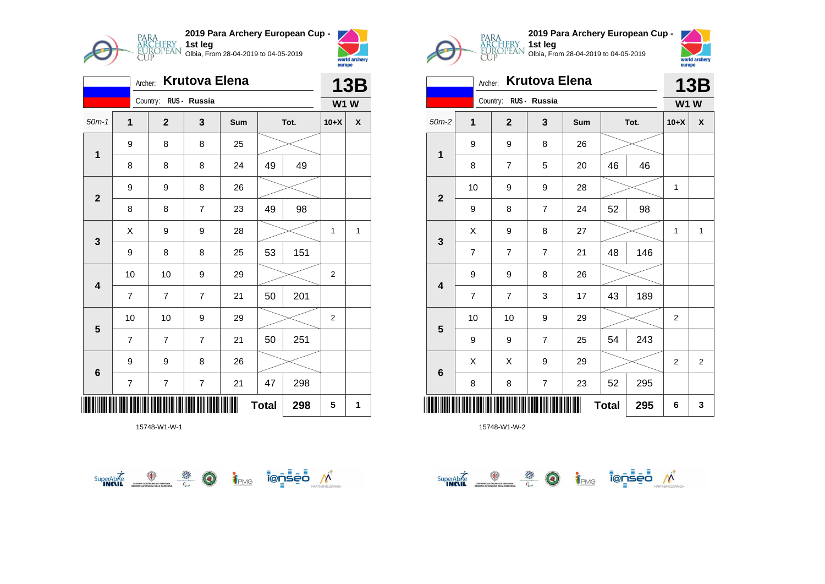

|                | <b>Krutova Elena</b><br>Archer: |                       |                         |     |    |      |                |   |  |  |
|----------------|---------------------------------|-----------------------|-------------------------|-----|----|------|----------------|---|--|--|
|                |                                 | Country: RUS - Russia |                         |     |    |      | <b>W1W</b>     |   |  |  |
| $50m-1$        | $\mathbf{1}$                    | $\mathbf{2}$          | 3                       | Sum |    | Tot. | $10+X$         | X |  |  |
| $\mathbf{1}$   | 9                               | 8                     | 8                       | 25  |    |      |                |   |  |  |
|                | 8                               | 8                     | 8                       | 24  | 49 | 49   |                |   |  |  |
| $\mathbf{2}$   | 9                               | 9                     | 8                       | 26  |    |      |                |   |  |  |
|                | 8                               | 8                     | $\overline{7}$          | 23  | 49 | 98   |                |   |  |  |
| 3              | Χ                               | 9                     | 9                       | 28  |    |      | 1              | 1 |  |  |
|                | 9                               | 8                     | 8                       | 25  | 53 | 151  |                |   |  |  |
| 4              | 10                              | 10                    | 9                       | 29  |    |      | $\overline{c}$ |   |  |  |
|                | $\overline{7}$                  | $\overline{7}$        | $\overline{7}$          | 21  | 50 | 201  |                |   |  |  |
| $5\phantom{1}$ | 10                              | 10                    | 9                       | 29  |    |      | $\overline{2}$ |   |  |  |
|                | $\overline{7}$                  | $\overline{7}$        | $\overline{7}$          | 21  | 50 | 251  |                |   |  |  |
| 6              | 9                               | 9                     | 8                       | 26  |    |      |                |   |  |  |
|                | $\overline{\mathbf{7}}$         | 7                     | $\overline{\mathbf{7}}$ | 21  | 47 | 298  |                |   |  |  |
|                | <b>Total</b><br>298             |                       |                         |     |    |      |                | 1 |  |  |







| <b>Krutova Elena</b><br>Archer: |                |                       |                |     |              |      |                | <b>13B</b>         |  |
|---------------------------------|----------------|-----------------------|----------------|-----|--------------|------|----------------|--------------------|--|
|                                 |                | Country: RUS - Russia |                |     |              |      | <b>W1W</b>     |                    |  |
| $50m-2$                         | 1              | $\mathbf{2}$          | 3              | Sum |              | Tot. | $10+X$         | $\pmb{\mathsf{X}}$ |  |
| 1                               | 9              | 9                     | 8              | 26  |              |      |                |                    |  |
|                                 | 8              | 7                     | 5              | 20  | 46           | 46   |                |                    |  |
| $\mathbf 2$                     | 10             | 9                     | 9              | 28  |              |      | 1              |                    |  |
|                                 | 9              | 8                     | $\overline{7}$ | 24  | 52           | 98   |                |                    |  |
|                                 | X              | 9                     | 8              | 27  |              |      | 1              | $\mathbf{1}$       |  |
| $\mathbf{3}$                    | $\overline{7}$ | 7                     | $\overline{7}$ | 21  | 48           | 146  |                |                    |  |
| $\overline{\mathbf{4}}$         | 9              | 9                     | 8              | 26  |              |      |                |                    |  |
|                                 | $\overline{7}$ | $\overline{7}$        | 3              | 17  | 43           | 189  |                |                    |  |
|                                 | 10             | 10                    | 9              | 29  |              |      | $\overline{2}$ |                    |  |
| $5\phantom{1}$                  | 9              | 9                     | $\overline{7}$ | 25  | 54           | 243  |                |                    |  |
|                                 | X              | Χ                     | 9              | 29  |              |      | $\overline{2}$ | $\overline{2}$     |  |
| $\bf 6$                         | 8              | 8                     | $\overline{7}$ | 23  | 52           | 295  |                |                    |  |
|                                 |                |                       |                |     | <b>Total</b> | 295  | 6              | 3                  |  |

 $\overbrace{\text{supexch}}^{\text{Supexch}} \overbrace{\text{supex}}^{\text{opex}} \overbrace{\text{supexch}}^{\text{opex}} \overbrace{\text{supexch}}^{\text{opex}} \overbrace{\text{supexch}}^{\text{opex}} \overbrace{\text{supexch}}^{\text{opex}}$ 

**1st leg**

Olbia, From 28-04-2019 to 04-05-2019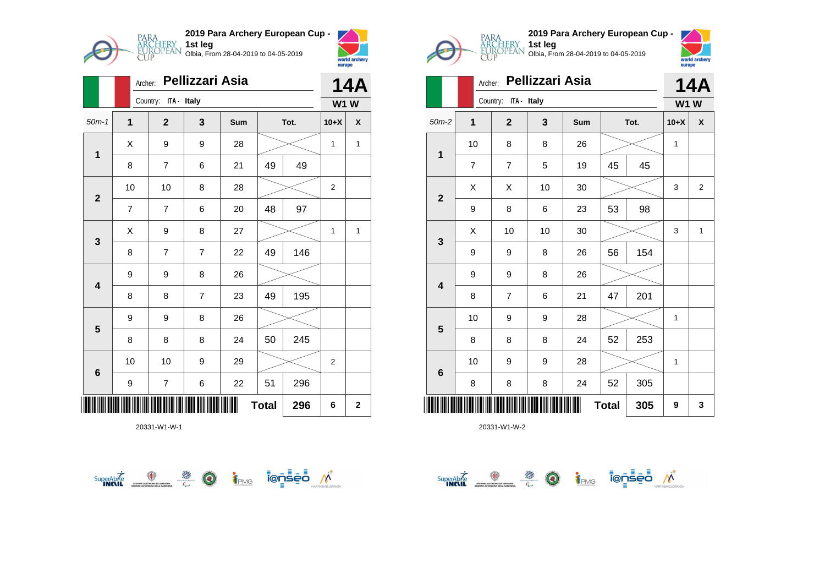

|                     | Archer:        |                         |                | <b>14A</b> |    |      |                |              |
|---------------------|----------------|-------------------------|----------------|------------|----|------|----------------|--------------|
|                     |                | ITA - Italy<br>Country: |                |            |    |      | <b>W1W</b>     |              |
| $50m-1$             | $\mathbf 1$    | $\mathbf{2}$            | 3              | Sum        |    | Tot. | $10+X$         | χ            |
| 1                   | X              | 9                       | 9              | 28         |    |      | 1              | $\mathbf{1}$ |
|                     | 8              | 7                       | 6              | 21         | 49 | 49   |                |              |
| $\mathbf{2}$        | 10             | 10                      | 8              | 28         |    |      | $\overline{2}$ |              |
|                     | $\overline{7}$ | 7                       | 6              | 20         | 48 | 97   |                |              |
| $\mathbf{3}$        | X              | 9                       | 8              | 27         |    |      | 1              | 1            |
|                     | 8              | 7                       | $\overline{7}$ | 22         | 49 | 146  |                |              |
| 4                   | 9              | 9                       | 8              | 26         |    |      |                |              |
|                     | 8              | 8                       | $\overline{7}$ | 23         | 49 | 195  |                |              |
| $5\phantom{1}$      | 9              | 9                       | 8              | 26         |    |      |                |              |
|                     | 8              | 8                       | 8              | 24         | 50 | 245  |                |              |
| 6                   | 10             | 10                      | 9              | 29         |    |      | 2              |              |
|                     | 9              | 7                       | 6              | 22         | 51 | 296  |                |              |
| <b>Total</b><br>296 |                |                         |                |            |    |      |                | $\mathbf 2$  |







|                 | <b>14A</b>     |                         |    |     |              |      |            |                |
|-----------------|----------------|-------------------------|----|-----|--------------|------|------------|----------------|
|                 |                | Country:<br>ITA - Italy |    |     |              |      | <b>W1W</b> |                |
| $50m-2$         | 1              | $\overline{\mathbf{2}}$ | 3  | Sum |              | Tot. | $10+X$     | X              |
| $\mathbf 1$     | 10             | 8                       | 8  | 26  |              |      | 1          |                |
|                 | $\overline{7}$ | $\overline{7}$          | 5  | 19  | 45           | 45   |            |                |
|                 | X              | X                       | 10 | 30  |              |      | 3          | $\overline{2}$ |
| $\mathbf{2}$    | 9              | 8                       | 6  | 23  | 53           | 98   |            |                |
|                 | X              | 10                      | 10 | 30  |              |      | 3          | $\mathbf{1}$   |
| $\mathbf{3}$    | 9              | 9                       | 8  | 26  | 56           | 154  |            |                |
|                 | 9              | 9                       | 8  | 26  |              |      |            |                |
| 4               | 8              | $\overline{7}$          | 6  | 21  | 47           | 201  |            |                |
|                 | 10             | 9                       | 9  | 28  |              |      | 1          |                |
| 5               | 8              | 8                       | 8  | 24  | 52           | 253  |            |                |
|                 | 10             | 9                       | 9  | 28  |              |      | 1          |                |
| $6\phantom{1}6$ | 8              | 8                       | 8  | 24  | 52           | 305  |            |                |
| Ⅲ               |                |                         |    |     | <b>Total</b> | 305  | 9          | 3              |

**1st leg**

Olbia, From 28-04-2019 to 04-05-2019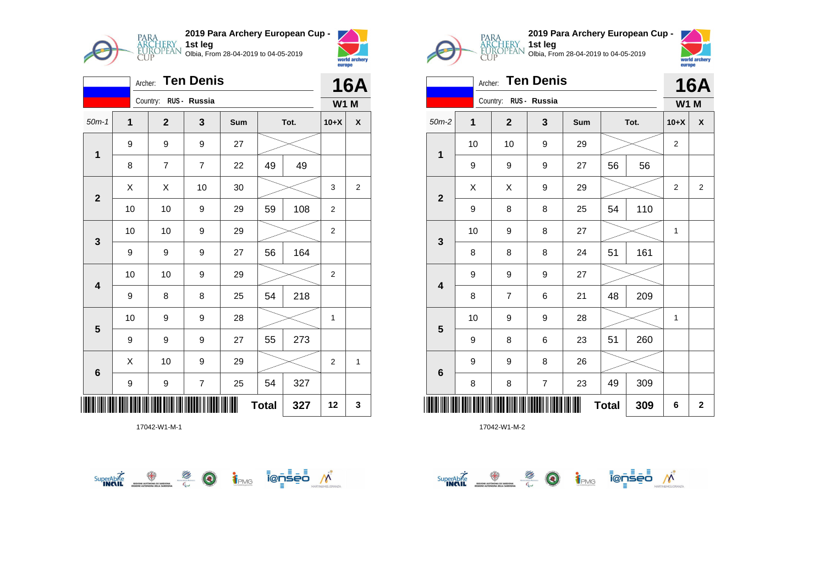

|                         | <b>Ten Denis</b><br>Archer: |                       |                |     |              |      |                |              |
|-------------------------|-----------------------------|-----------------------|----------------|-----|--------------|------|----------------|--------------|
|                         |                             | Country: RUS - Russia |                |     |              |      | <b>W1 M</b>    |              |
| $50m-1$                 | $\mathbf 1$                 | $\mathbf{2}$          | 3              | Sum |              | Tot. | $10+X$         | χ            |
| $\mathbf{1}$            | 9                           | 9                     | 9              | 27  |              |      |                |              |
|                         | 8                           | $\overline{7}$        | $\overline{7}$ | 22  | 49           | 49   |                |              |
| $\overline{\mathbf{2}}$ | X                           | Χ                     | 10             | 30  |              |      | 3              | 2            |
|                         | 10                          | 10                    | 9              | 29  | 59           | 108  | $\overline{2}$ |              |
| $\mathbf{3}$            | 10                          | 10                    | 9              | 29  |              |      | $\overline{2}$ |              |
|                         | 9                           | 9                     | 9              | 27  | 56           | 164  |                |              |
| $\overline{\mathbf{4}}$ | 10                          | 10                    | 9              | 29  |              |      | 2              |              |
|                         | 9                           | 8                     | 8              | 25  | 54           | 218  |                |              |
| 5                       | 10                          | 9                     | 9              | 28  |              |      | 1              |              |
|                         | 9                           | 9                     | 9              | 27  | 55           | 273  |                |              |
| $6\phantom{1}6$         | X                           | 10                    | 9              | 29  |              |      | $\overline{2}$ | $\mathbf{1}$ |
|                         | 9                           | 9                     | 7              | 25  | 54           | 327  |                |              |
|                         |                             |                       |                | Ш   | <b>Total</b> | 327  | 12             | 3            |







| <b>Ten Denis</b><br>Archer: |                |                       |   |     |              |      |                | <b>16A</b>         |  |
|-----------------------------|----------------|-----------------------|---|-----|--------------|------|----------------|--------------------|--|
|                             |                | Country: RUS - Russia |   |     |              |      | <b>W1 M</b>    |                    |  |
| $50m-2$                     | $\overline{1}$ | $\overline{2}$        | 3 | Sum |              | Tot. | $10+X$         | $\pmb{\mathsf{X}}$ |  |
| $\mathbf 1$                 | 10             | 10                    | 9 | 29  |              |      | 2              |                    |  |
|                             | 9              | 9                     | 9 | 27  | 56           | 56   |                |                    |  |
| $\mathbf{2}$                | X              | X                     | 9 | 29  |              |      | $\overline{2}$ | $\overline{2}$     |  |
|                             | 9              | 8                     | 8 | 25  | 54           | 110  |                |                    |  |
| $\mathbf{3}$                | 10             | 9                     | 8 | 27  |              |      | 1              |                    |  |
|                             | 8              | 8                     | 8 | 24  | 51           | 161  |                |                    |  |
| $\overline{\mathbf{4}}$     | 9              | 9                     | 9 | 27  |              |      |                |                    |  |
|                             | 8              | 7                     | 6 | 21  | 48           | 209  |                |                    |  |
| $\overline{\mathbf{5}}$     | 10             | 9                     | 9 | 28  |              |      | 1              |                    |  |
|                             | 9              | 8                     | 6 | 23  | 51           | 260  |                |                    |  |
| $\bf 6$                     | 9              | 9                     | 8 | 26  |              |      |                |                    |  |
|                             | 8              | 8                     | 7 | 23  | 49           | 309  |                |                    |  |
| <u>       </u>              |                |                       |   |     | <b>Total</b> | 309  | 6              | $\mathbf{2}$       |  |

 $\overbrace{\text{supexch}}^{\text{Supexch}} \overbrace{\text{supex}}^{\text{opex}} \overbrace{\text{supexch}}^{\text{opex}} \overbrace{\text{supexch}}^{\text{opex}} \overbrace{\text{supexch}}^{\text{opex}} \overbrace{\text{supexch}}^{\text{opex}}$ 

**1st leg**

Olbia, From 28-04-2019 to 04-05-2019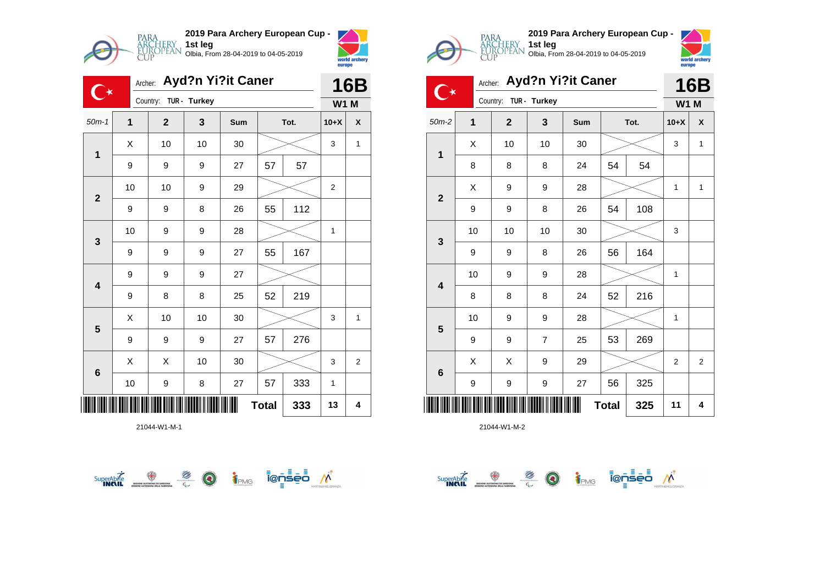



world archer<br>europe

|                         | Archer:      | Ayd?n Yi?it Caner     |    |     | <b>16B</b>   |      |                |   |
|-------------------------|--------------|-----------------------|----|-----|--------------|------|----------------|---|
|                         |              | Country: TUR - Turkey |    |     |              |      | <b>W1 M</b>    |   |
| $50m-1$                 | $\mathbf{1}$ | $\mathbf{2}$          | 3  | Sum |              | Tot. | $10+X$         | X |
| $\mathbf{1}$            | X            | 10                    | 10 | 30  |              |      | 3              | 1 |
|                         | 9            | 9                     | 9  | 27  | 57           | 57   |                |   |
| $\mathbf{2}$            | 10           | 10                    | 9  | 29  |              |      | $\overline{2}$ |   |
|                         | 9            | 9                     | 8  | 26  | 55           | 112  |                |   |
| 3                       | 10           | 9                     | 9  | 28  |              |      | $\mathbf{1}$   |   |
|                         | 9            | 9                     | 9  | 27  | 55           | 167  |                |   |
| $\overline{\mathbf{4}}$ | 9            | 9                     | 9  | 27  |              |      |                |   |
|                         | 9            | 8                     | 8  | 25  | 52           | 219  |                |   |
|                         | Χ            | 10                    | 10 | 30  |              |      | 3              | 1 |
| $\overline{\mathbf{5}}$ | 9            | 9                     | 9  | 27  | 57           | 276  |                |   |
| 6                       | X            | Χ                     | 10 | 30  |              |      | 3              | 2 |
|                         | 10           | 9                     | 8  | 27  | 57           | 333  | $\mathbf{1}$   |   |
|                         |              |                       |    |     | <b>Total</b> | 333  | 13             | 4 |

21044-W1-M-1







|                         | <b>Ayd?n Yi?it Caner</b><br>Archer: |              |                |     |              |      |             | <b>16B</b>     |
|-------------------------|-------------------------------------|--------------|----------------|-----|--------------|------|-------------|----------------|
|                         |                                     | Country:     | TUR - Turkey   |     |              |      | <b>W1 M</b> |                |
| $50m-2$                 | $\mathbf{1}$                        | $\mathbf{2}$ | 3              | Sum |              | Tot. | $10+X$      | X              |
| $\mathbf{1}$            | X                                   | 10           | 10             | 30  |              |      | 3           | 1              |
|                         | 8                                   | 8            | 8              | 24  | 54           | 54   |             |                |
| $\mathbf{2}$            | X                                   | 9            | 9              | 28  |              |      | 1           | $\mathbf{1}$   |
|                         | 9                                   | 9            | 8              | 26  | 54           | 108  |             |                |
| 3                       | 10                                  | 10           | 10             | 30  |              |      | 3           |                |
|                         | 9                                   | 9            | 8              | 26  | 56           | 164  |             |                |
| $\overline{\mathbf{4}}$ | 10                                  | 9            | 9              | 28  |              |      | 1           |                |
|                         | 8                                   | 8            | 8              | 24  | 52           | 216  |             |                |
| 5                       | 10                                  | 9            | 9              | 28  |              |      | 1           |                |
|                         | 9                                   | 9            | $\overline{7}$ | 25  | 53           | 269  |             |                |
| $6\phantom{1}6$         | X                                   | Χ            | 9              | 29  |              |      | 2           | $\overline{2}$ |
|                         | 9                                   | 9            | 9              | 27  | 56           | 325  |             |                |
|                         |                                     |              |                |     | <b>Total</b> | 325  | 11          | 4              |

SuperAbite SuperAbite SuperAbite SuperAbite SuperAbite SuperAbite SuperApite Super

**1st leg**

Olbia, From 28-04-2019 to 04-05-2019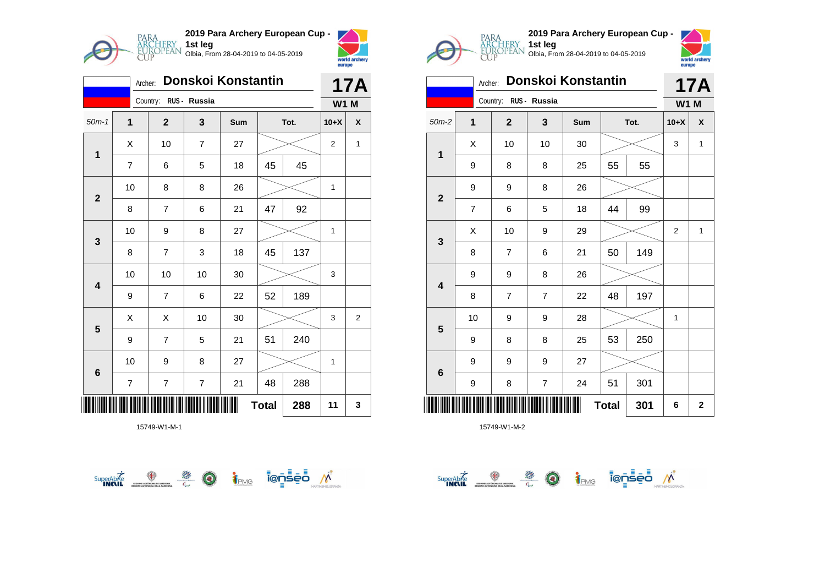

|                           | Archer:        |                         |                         | Donskoi Konstantin |    |      |                | <b>17A</b>   |
|---------------------------|----------------|-------------------------|-------------------------|--------------------|----|------|----------------|--------------|
|                           |                | Country: RUS - Russia   |                         |                    |    |      | <b>W1 M</b>    |              |
| $50m-1$                   | 1              | $\overline{2}$          | 3                       | Sum                |    | Tot. | $10+X$         | χ            |
| $\mathbf{1}$              | X              | 10                      | $\overline{7}$          | 27                 |    |      | $\overline{2}$ | $\mathbf{1}$ |
|                           | 7              | 6                       | 5                       | 18                 | 45 | 45   |                |              |
| $\mathbf{2}$              | 10             | 8                       | 8                       | 26                 |    |      | 1              |              |
|                           | 8              | $\overline{7}$          | 6                       | 21                 | 47 | 92   |                |              |
| 3                         | 10             | 9                       | 8                       | 27                 |    |      | $\mathbf{1}$   |              |
|                           | 8              | $\overline{7}$          | 3                       | 18                 | 45 | 137  |                |              |
| 4                         | 10             | 10                      | 10                      | 30                 |    |      | 3              |              |
|                           | 9              | $\overline{7}$          | 6                       | 22                 | 52 | 189  |                |              |
| $5\phantom{1}$            | X              | X                       | 10                      | 30                 |    |      | 3              | $\mathbf{2}$ |
|                           | 9              | $\overline{7}$          | 5                       | 21                 | 51 | 240  |                |              |
| 6                         | 10             | 9                       | 8                       | 27                 |    |      | 1              |              |
|                           | $\overline{7}$ | $\overline{\mathbf{7}}$ | $\overline{\mathbf{7}}$ | 21                 | 48 | 288  |                |              |
| <b>Total</b><br>288<br>11 |                |                         |                         |                    |    |      |                | 3            |







|              | Donskoi Konstantin<br>Archer: |                       |                |     |              |      |                | <b>17A</b>         |
|--------------|-------------------------------|-----------------------|----------------|-----|--------------|------|----------------|--------------------|
|              |                               | Country: RUS - Russia |                |     |              |      | <b>W1 M</b>    |                    |
| $50m-2$      | 1                             | $\mathbf{2}$          | 3              | Sum |              | Tot. | $10+X$         | $\pmb{\mathsf{X}}$ |
| 1            | X                             | 10                    | 10             | 30  |              |      |                | $\mathbf{1}$       |
|              | 9                             | 8                     | 8              | 25  | 55           | 55   |                |                    |
| $\mathbf{2}$ | 9                             | 9                     | 8              | 26  |              |      |                |                    |
|              | $\overline{7}$                | 6                     | 5              | 18  | 44           | 99   |                |                    |
| $\mathbf{3}$ | X                             | 10                    | 9              | 29  |              |      | $\overline{2}$ | $\mathbf{1}$       |
|              | 8                             | $\overline{7}$        | 6              | 21  | 50           | 149  |                |                    |
| 4            | 9                             | 9                     | 8              | 26  |              |      |                |                    |
|              | 8                             | $\overline{7}$        | $\overline{7}$ | 22  | 48           | 197  |                |                    |
|              | 10                            | 9                     | 9              | 28  |              |      | 1              |                    |
| 5            | 9                             | 8                     | 8              | 25  | 53           | 250  |                |                    |
|              | 9                             | 9                     | 9              | 27  |              |      |                |                    |
| $\bf 6$      | 9                             | 8                     | $\overline{7}$ | 24  | 51           | 301  |                |                    |
|              |                               |                       |                |     | <b>Total</b> | 301  | 6              | $\mathbf 2$        |

**1st leg**

Olbia, From 28-04-2019 to 04-05-2019

 $\overbrace{\text{supexch}}^{\text{Supexch}} \overbrace{\text{supex}}^{\text{opex}} \overbrace{\text{supexch}}^{\text{opex}} \overbrace{\text{supexch}}^{\text{opex}} \overbrace{\text{supexch}}^{\text{opex}} \overbrace{\text{supexch}}^{\text{opex}}$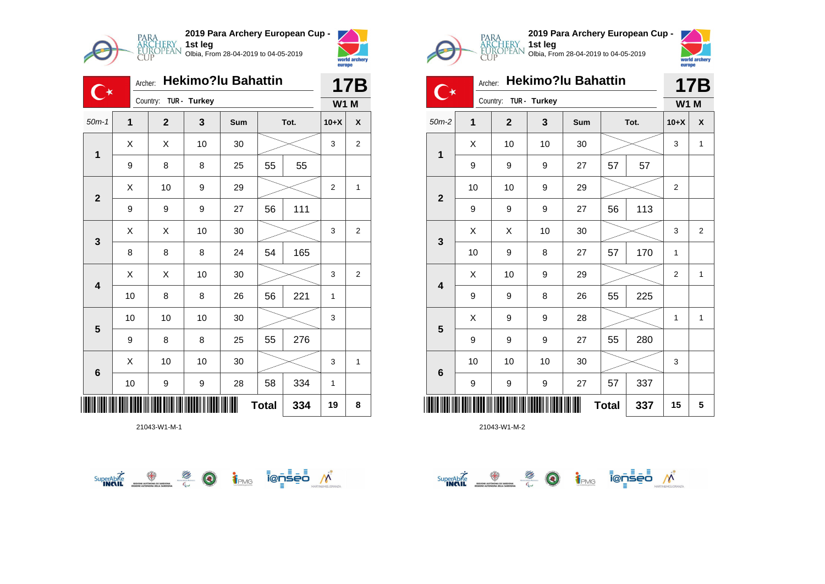

**2019 Para Archery European Cup - 1st leg** Olbia, From 28-04-2019 to 04-05-2019



|                         | Archer:      |              |              | <b>Hekimo?lu Bahattin</b> |              |      |             | <b>17B</b>     |
|-------------------------|--------------|--------------|--------------|---------------------------|--------------|------|-------------|----------------|
|                         |              | Country:     | TUR - Turkey |                           |              |      | <b>W1 M</b> |                |
| $50m-1$                 | $\mathbf{1}$ | $\mathbf{2}$ | 3            | Sum                       |              | Tot. | $10+X$      | X              |
| $\mathbf{1}$            | X            | Χ            | 10           | 30                        |              |      | 3           | $\overline{2}$ |
|                         | 9            | 8            | 8            | 25                        | 55           | 55   |             |                |
| $\overline{2}$          | Χ            | 10           | 9            | 29                        |              |      | 2           | 1              |
|                         | 9            | 9            | 9            | 27                        | 56           | 111  |             |                |
| $\mathbf{3}$            | X            | Χ            | 10           | 30                        |              |      | 3           | 2              |
|                         | 8            | 8            | 8            | 24                        | 54           | 165  |             |                |
| $\overline{\mathbf{4}}$ | X            | X            | 10           | 30                        |              |      | 3           | 2              |
|                         | 10           | 8            | 8            | 26                        | 56           | 221  | 1           |                |
| 5                       | 10           | 10           | 10           | 30                        |              |      | 3           |                |
|                         | 9            | 8            | 8            | 25                        | 55           | 276  |             |                |
| $6\phantom{1}6$         | X            | 10           | 10           | 30                        |              |      | 3           | 1              |
|                         | $10$         | 9            | 9            | 28                        | 58           | 334  | 1           |                |
|                         |              |              |              |                           | <b>Total</b> | 334  | 19          | 8              |

21043-W1-M-1







|                         |              | <b>Hekimo?lu Bahattin</b><br>Archer: |              |     |              |      |                | <b>17B</b>   |
|-------------------------|--------------|--------------------------------------|--------------|-----|--------------|------|----------------|--------------|
|                         |              | Country:                             | TUR - Turkey |     |              |      | <b>W1 M</b>    |              |
| $50m-2$                 | $\mathbf{1}$ | $\mathbf{2}$                         | 3            | Sum |              | Tot. | $10+X$         | X            |
|                         | X            | 10                                   | 10           | 30  |              |      | 3              | $\mathbf{1}$ |
| $\mathbf{1}$            | 9            | 9                                    | 9            | 27  | 57           | 57   |                |              |
| $\overline{\mathbf{2}}$ | 10           | 10                                   | 9            | 29  |              |      | 2              |              |
|                         | 9            | 9                                    | 9            | 27  | 56           | 113  |                |              |
| 3                       | Χ            | X                                    | 10           | 30  |              |      | 3              | $\mathbf 2$  |
|                         | 10           | 9                                    | 8            | 27  | 57           | 170  | 1              |              |
| $\overline{\mathbf{4}}$ | X            | 10                                   | 9            | 29  |              |      | $\overline{2}$ | $\mathbf{1}$ |
|                         | 9            | 9                                    | 8            | 26  | 55           | 225  |                |              |
| 5                       | X            | 9                                    | 9            | 28  |              |      | $\mathbf{1}$   | $\mathbf{1}$ |
|                         | 9            | 9                                    | 9            | 27  | 55           | 280  |                |              |
| $6\phantom{1}$          | 10           | 10                                   | 10           | 30  |              |      | 3              |              |
|                         | 9            | 9                                    | 9            | 27  | 57           | 337  |                |              |
|                         |              |                                      |              |     | <b>Total</b> | 337  | 15             | 5            |

**1st leg**

Olbia, From 28-04-2019 to 04-05-2019

SuperAbite **the CO fight of Equity of Second Avistance**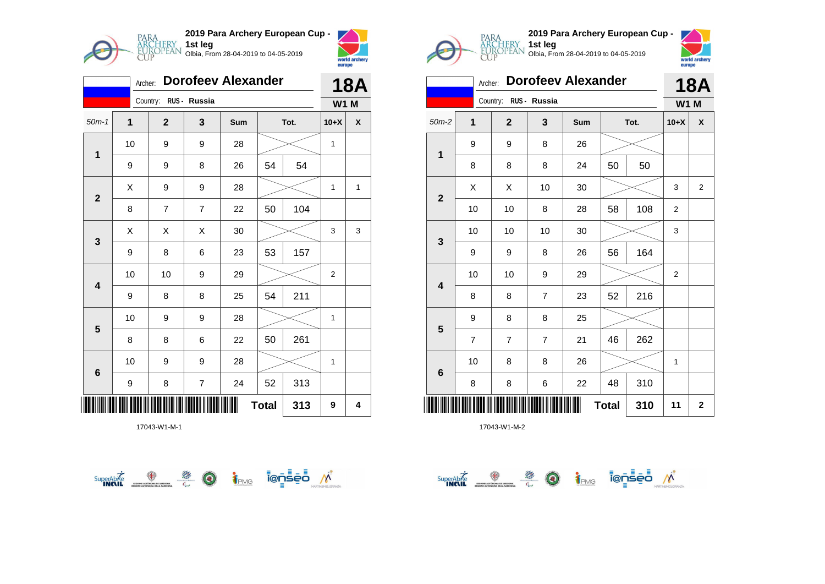

|              | Archer:     |                         |                         | <b>Dorofeev Alexander</b> |              |      |              | <b>18A</b> |  |
|--------------|-------------|-------------------------|-------------------------|---------------------------|--------------|------|--------------|------------|--|
|              |             | Country:                | RUS - Russia            |                           |              |      | <b>W1 M</b>  |            |  |
| $50m-1$      | $\mathbf 1$ | $\mathbf{2}$            | 3                       | Sum                       |              | Tot. | $10+X$       | χ          |  |
| $\mathbf{1}$ | 10          | 9                       | 9                       | 28                        |              |      | 1            |            |  |
|              | 9           | 9                       | 8                       | 26                        | 54           | 54   |              |            |  |
| $\mathbf 2$  | Χ           | 9                       | 9                       | 28                        |              |      | 1            | 1          |  |
|              | 8           | $\overline{\mathbf{7}}$ | $\overline{7}$          | 22                        | 50           | 104  |              |            |  |
| 3            | X           | Χ                       | Χ                       | 30                        |              |      | 3            | 3          |  |
|              | 9           | 8                       | 6                       | 23                        | 53           | 157  |              |            |  |
| 4            | 10          | 10                      | 9                       | 29                        |              |      | 2            |            |  |
|              | 9           | 8                       | 8                       | 25                        | 54           | 211  |              |            |  |
| 5            | 10          | 9                       | 9                       | 28                        |              |      | 1            |            |  |
|              | 8           | 8                       | 6                       | 22                        | 50           | 261  |              |            |  |
| 6            | 10          | 9                       | 9                       | 28                        |              |      | $\mathbf{1}$ |            |  |
|              | 9           | 8                       | $\overline{\mathbf{7}}$ | 24                        | 52           | 313  |              |            |  |
|              |             |                         |                         |                           | <b>Total</b> | 313  | 9            | 4          |  |







|                         | Archer:        |                         |                | <b>Dorofeev Alexander</b> |              |      |                | <b>18A</b>     |
|-------------------------|----------------|-------------------------|----------------|---------------------------|--------------|------|----------------|----------------|
|                         |                | Country:                | RUS - Russia   |                           |              |      | <b>W1 M</b>    |                |
| $50m-2$                 | 1              | $\overline{\mathbf{2}}$ | 3              | Sum                       |              | Tot. | $10+X$         | X              |
| 1                       | 9              | 9                       | 8              | 26                        |              |      |                |                |
|                         | 8              | 8                       | 8              | 24                        | 50           | 50   |                |                |
| $\overline{2}$          | X              | Χ                       | 10             | 30                        |              |      | 3              | $\overline{2}$ |
|                         | 10             | 10                      | 8              | 28                        | 58           | 108  | $\overline{2}$ |                |
| 3                       | 10             | 10                      | 10             | 30                        |              |      | 3              |                |
|                         | 9              | 9                       | 8              | 26                        | 56           | 164  |                |                |
| $\overline{\mathbf{4}}$ | 10             | 10                      | 9              | 29                        |              |      | $\overline{2}$ |                |
|                         | 8              | 8                       | $\overline{7}$ | 23                        | 52           | 216  |                |                |
|                         | 9              | 8                       | 8              | 25                        |              |      |                |                |
| 5                       | $\overline{7}$ | $\overline{7}$          | $\overline{7}$ | 21                        | 46           | 262  |                |                |
|                         | 10             | 8                       | 8              | 26                        |              |      | 1              |                |
| $\bf 6$                 | 8              | 8                       | 6              | 22                        | 48           | 310  |                |                |
|                         |                |                         |                |                           | <b>Total</b> | 310  | 11             | $\mathbf 2$    |

**1st leg**

Olbia, From 28-04-2019 to 04-05-2019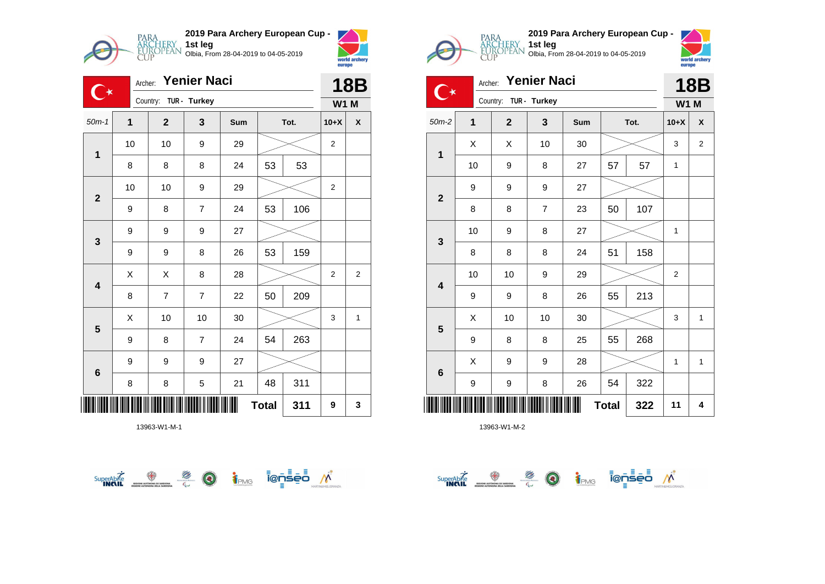

**2019 Para Archery European Cup - 1st leg** Olbia, From 28-04-2019 to 04-05-2019



| <b>Yenier Naci</b><br>Archer:<br>╶ |    |                       |                |     |              |      | <b>18B</b>     |                |
|------------------------------------|----|-----------------------|----------------|-----|--------------|------|----------------|----------------|
|                                    |    | Country: TUR - Turkey |                |     |              |      | <b>W1 M</b>    |                |
| $50m-1$                            | 1  | $\mathbf{2}$          | 3              | Sum |              | Tot. | $10+X$         | X              |
| 1                                  | 10 | 10                    | 9              | 29  |              |      | $\overline{2}$ |                |
|                                    | 8  | 8                     | 8              | 24  | 53           | 53   |                |                |
| $\mathbf{2}$                       | 10 | 10                    | 9              | 29  |              |      | 2              |                |
|                                    | 9  | 8                     | $\overline{7}$ | 24  | 53           | 106  |                |                |
| $\mathbf{3}$                       | 9  | 9                     | 9              | 27  |              |      |                |                |
|                                    | 9  | 9                     | 8              | 26  | 53           | 159  |                |                |
| $\overline{\mathbf{4}}$            | Χ  | X                     | 8              | 28  |              |      | $\overline{2}$ | $\overline{2}$ |
|                                    | 8  | $\overline{7}$        | $\overline{7}$ | 22  | 50           | 209  |                |                |
| $5\phantom{1}$                     | Χ  | 10                    | 10             | 30  |              |      | 3              | $\mathbf{1}$   |
|                                    | 9  | 8                     | $\overline{7}$ | 24  | 54           | 263  |                |                |
| $\bf 6$                            | 9  | 9                     | 9              | 27  |              |      |                |                |
|                                    | 8  | 8                     | 5              | 21  | 48           | 311  |                |                |
|                                    |    |                       |                |     | <b>Total</b> | 311  | 9              | 3              |

13963-W1-M-1







|                         | <b>Yenier Naci</b><br>Archer: |                |              |     |              |      | <b>18B</b>     |                |
|-------------------------|-------------------------------|----------------|--------------|-----|--------------|------|----------------|----------------|
|                         |                               | Country:       | TUR - Turkey |     |              |      | <b>W1 M</b>    |                |
| $50m-2$                 | 1                             | $\overline{2}$ | 3            | Sum |              | Tot. | $10+X$         | X              |
| 1                       | X                             | X              | 10           | 30  |              |      | 3              | $\overline{2}$ |
|                         | 10                            | 9              | 8            | 27  | 57           | 57   | 1              |                |
| $\mathbf{2}$            | 9                             | 9              | 9            | 27  |              |      |                |                |
|                         | 8                             | 8              | 7            | 23  | 50           | 107  |                |                |
| 3                       | 10                            | 9              | 8            | 27  |              |      | 1              |                |
|                         | 8                             | 8              | 8            | 24  | 51           | 158  |                |                |
| $\overline{\mathbf{4}}$ | 10                            | 10             | 9            | 29  |              |      | $\overline{c}$ |                |
|                         | 9                             | 9              | 8            | 26  | 55           | 213  |                |                |
| $5\phantom{1}$          | X                             | 10             | 10           | 30  |              |      | 3              | $\mathbf{1}$   |
|                         | 9                             | 8              | 8            | 25  | 55           | 268  |                |                |
| 6                       | Χ                             | 9              | 9            | 28  |              |      | $\mathbf{1}$   | $\mathbf{1}$   |
|                         | 9                             | 9              | 8            | 26  | 54           | 322  |                |                |
| ║║║                     |                               |                |              |     | <b>Total</b> | 322  | 11             | 4              |

SuperAbite SuperAbite SuperAbite SuperAbite SuperAbite SuperAbite SuperApite Super

**1st leg**

Olbia, From 28-04-2019 to 04-05-2019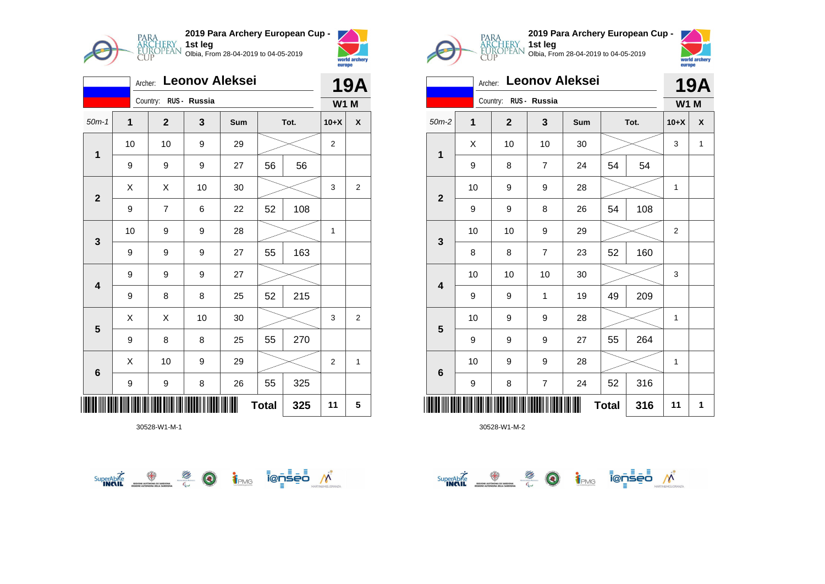

|                         |                           | Archer:        |              | <b>Leonov Aleksei</b> |    |      |                | <b>19A</b>     |  |
|-------------------------|---------------------------|----------------|--------------|-----------------------|----|------|----------------|----------------|--|
|                         |                           | Country:       | RUS - Russia |                       |    |      | <b>W1 M</b>    |                |  |
| $50m-1$                 | $\mathbf 1$               | $\mathbf{2}$   | 3            | Sum                   |    | Tot. | $10+X$         | X              |  |
| $\mathbf{1}$            | 10                        | 10             | 9            | 29                    |    |      | $\overline{2}$ |                |  |
|                         | 9                         | 9              | 9            | 27                    | 56 | 56   |                |                |  |
| $\mathbf{2}$            | Χ                         | X              | 10           | 30                    |    |      | 3              | $\overline{2}$ |  |
|                         | 9                         | $\overline{7}$ | 6            | 22                    | 52 | 108  |                |                |  |
| $\mathbf{3}$            | 10                        | 9              | 9            | 28                    |    |      | 1              |                |  |
|                         | 9                         | 9              | 9            | 27                    | 55 | 163  |                |                |  |
| $\overline{\mathbf{4}}$ | 9                         | 9              | 9            | 27                    |    |      |                |                |  |
|                         | 9                         | 8              | 8            | 25                    | 52 | 215  |                |                |  |
| 5                       | X                         | Χ              | 10           | 30                    |    |      | 3              | $\overline{2}$ |  |
|                         | 9                         | 8              | 8            | 25                    | 55 | 270  |                |                |  |
| $6\phantom{1}6$         | X                         | 10             | 9            | 29                    |    |      | $\overline{2}$ | 1              |  |
|                         | 9                         | 9              | 8            | 26                    | 55 | 325  |                |                |  |
|                         | <b>Total</b><br>325<br>11 |                |              |                       |    |      |                | 5              |  |







|                         | Archer:     |                       |                | <b>Leonov Aleksei</b> |              |      |                | <b>19A</b>   |  |
|-------------------------|-------------|-----------------------|----------------|-----------------------|--------------|------|----------------|--------------|--|
|                         |             | Country: RUS - Russia |                |                       |              |      | <b>W1 M</b>    |              |  |
| $50m-2$                 | $\mathbf 1$ | $\mathbf{2}$          | 3              | Sum                   |              | Tot. | $10+X$         | X            |  |
| $\mathbf 1$             | X           | 10                    | 10             | 30                    |              |      | 3              | $\mathbf{1}$ |  |
|                         | 9           | 8                     | $\overline{7}$ | 24                    | 54           | 54   |                |              |  |
| $\mathbf{2}$            | 10          | 9                     | 9              | 28                    |              |      | 1              |              |  |
|                         | 9           | 9                     | 8              | 26                    | 54           | 108  |                |              |  |
| 3                       | 10          | 10                    | 9              | 29                    |              |      | $\overline{2}$ |              |  |
|                         | 8           | 8                     | $\overline{7}$ | 23                    | 52           | 160  |                |              |  |
| $\overline{\mathbf{4}}$ | 10          | 10                    | 10             | 30                    |              |      | 3              |              |  |
|                         | 9           | 9                     | 1              | 19                    | 49           | 209  |                |              |  |
|                         | 10          | 9                     | 9              | 28                    |              |      | 1              |              |  |
| $\overline{\mathbf{5}}$ | 9           | 9                     | 9              | 27                    | 55           | 264  |                |              |  |
| $\bf 6$                 | 10          | 9                     | 9              | 28                    |              |      | 1              |              |  |
|                         | 9           | 8                     | $\overline{7}$ | 24                    | 52           | 316  |                |              |  |
| ║║                      |             |                       |                |                       | <b>Total</b> | 316  | 11             | 1            |  |

 $\overbrace{\text{sup.}^{\text{C}}\text{C}}^{\text{Sup.}^{\text{C}}\text{C}}\underbrace{\text{D}}_{\text{C}}\underbrace{\text{D}}_{\text{C}}\underbrace{\text{i}}_{\text{PMG}}\overline{\text{I}}\text{C}}\underbrace{\text{I}}_{\text{D}}\underbrace{\text{I}}_{\text{C}}\underbrace{\text{I}}_{\text{D}}\underbrace{\text{I}}_{\text{C}}\underbrace{\text{I}}_{\text{D}}\underbrace{\text{I}}_{\text{C}}\underbrace{\text{I}}_{\text{D}}\underbrace{\text{I}}_{\text{D}}\underbrace{\text{I}}_{\text{D}}$ 

**1st leg**

Olbia, From 28-04-2019 to 04-05-2019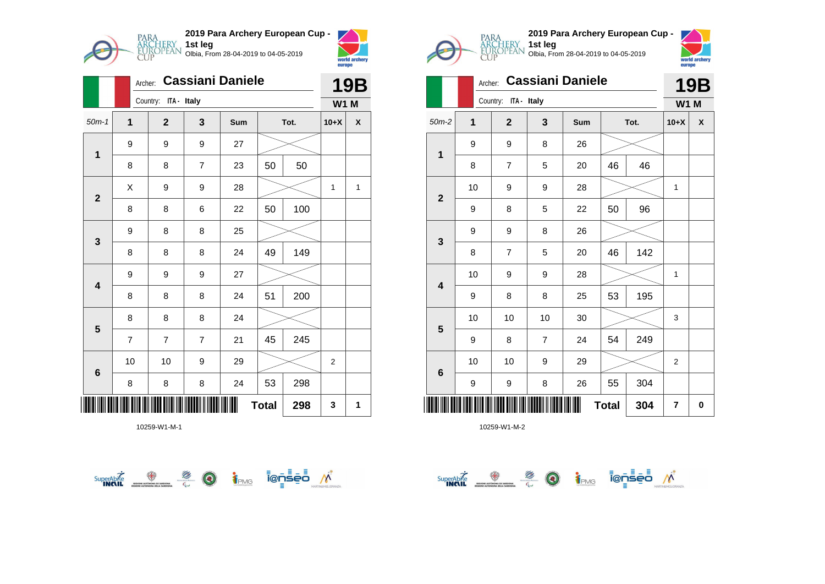

|                         |                | <b>Cassiani Daniele</b><br>Archer: |                      |                |     |              |      |                | <b>19B</b>         |
|-------------------------|----------------|------------------------------------|----------------------|----------------|-----|--------------|------|----------------|--------------------|
|                         |                |                                    | Country: ITA - Italy |                |     |              |      | <b>W1 M</b>    |                    |
| $50m-1$                 | 1              |                                    | $\mathbf{2}$         | 3              | Sum |              | Tot. | $10+X$         | $\pmb{\mathsf{X}}$ |
| $\mathbf 1$             | 9              |                                    | 9                    | 9              | 27  |              |      |                |                    |
|                         | 8              |                                    | 8                    | $\overline{7}$ | 23  | 50           | 50   |                |                    |
| $\mathbf{2}$            | X              |                                    | 9                    | 9              | 28  |              |      | 1              | 1                  |
|                         | 8              |                                    | 8                    | 6              | 22  | 50           | 100  |                |                    |
| $\mathbf{3}$            | 9              |                                    | 8                    | 8              | 25  |              |      |                |                    |
|                         | 8              |                                    | 8                    | 8              | 24  | 49           | 149  |                |                    |
| $\overline{\mathbf{4}}$ | 9              |                                    | 9                    | 9              | 27  |              |      |                |                    |
|                         | 8              |                                    | 8                    | 8              | 24  | 51           | 200  |                |                    |
| $5\phantom{1}$          | 8              |                                    | 8                    | 8              | 24  |              |      |                |                    |
|                         | $\overline{7}$ |                                    | $\overline{7}$       | $\overline{7}$ | 21  | 45           | 245  |                |                    |
| 6                       | 10             |                                    | 10                   | 9              | 29  |              |      | $\overline{2}$ |                    |
|                         | 8              |                                    | 8                    | 8              | 24  | 53           | 298  |                |                    |
|                         |                |                                    |                      |                |     | <b>Total</b> | 298  | 3              | 1                  |







|                         | Archer:        |                         |                | 19B |              |      |                |   |
|-------------------------|----------------|-------------------------|----------------|-----|--------------|------|----------------|---|
|                         |                | Country:<br>ITA - Italy |                |     |              |      | <b>W1 M</b>    |   |
| $50m-2$                 | $\overline{1}$ | $\overline{\mathbf{2}}$ | 3              | Sum |              | Tot. | $10+X$         | X |
| $\mathbf 1$             | 9              | 9                       | 8              | 26  |              |      |                |   |
|                         | 8              | $\overline{7}$          | 5              | 20  | 46           | 46   |                |   |
| $\overline{2}$          | 10             | 9                       | 9              | 28  |              |      | 1              |   |
|                         | 9              | 8                       | 5              | 22  | 50           | 96   |                |   |
| 3                       | 9              | 9                       | 8              | 26  |              |      |                |   |
|                         | 8              | $\overline{7}$          | 5              | 20  | 46           | 142  |                |   |
| $\overline{\mathbf{4}}$ | 10             | 9                       | 9              | 28  |              |      | 1              |   |
|                         | 9              | 8                       | 8              | 25  | 53           | 195  |                |   |
|                         | 10             | 10                      | 10             | 30  |              |      | 3              |   |
| 5                       | 9              | 8                       | $\overline{7}$ | 24  | 54           | 249  |                |   |
| $6\phantom{1}$          | 10             | 10                      | 9              | 29  |              |      | $\overline{2}$ |   |
|                         | 9              | 9                       | 8              | 26  | 55           | 304  |                |   |
| IIII                    |                |                         |                |     | <b>Total</b> | 304  | $\overline{7}$ | 0 |

 $\overbrace{\text{supexch}}^{\text{Supexch}} \overbrace{\text{supex}}^{\text{opex}} \overbrace{\text{supexch}}^{\text{opex}} \overbrace{\text{supexch}}^{\text{opex}} \overbrace{\text{supexch}}^{\text{opex}} \overbrace{\text{supexch}}^{\text{opex}}$ 

**1st leg**

Olbia, From 28-04-2019 to 04-05-2019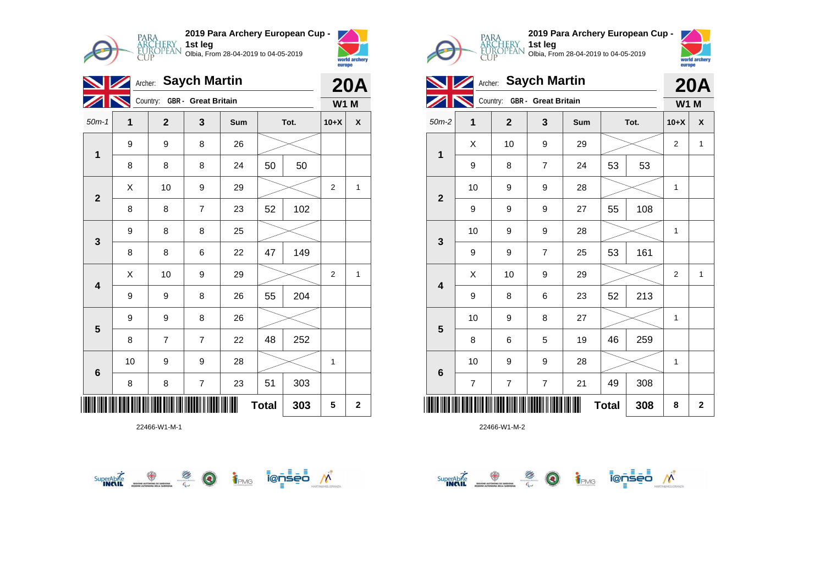

|                         | Archer: Saych Martin<br>Z |                              | <b>20A</b>     |     |    |      |                |                    |
|-------------------------|---------------------------|------------------------------|----------------|-----|----|------|----------------|--------------------|
|                         |                           | Country: GBR - Great Britain |                |     |    |      | <b>W1 M</b>    |                    |
| $50m-1$                 | $\mathbf{1}$              | $\mathbf{2}$                 | 3              | Sum |    | Tot. | $10+X$         | $\pmb{\mathsf{X}}$ |
| $\mathbf{1}$            | 9                         | 9                            | 8              | 26  |    |      |                |                    |
|                         | 8                         | 8                            | 8              | 24  | 50 | 50   |                |                    |
| $\overline{\mathbf{2}}$ | Χ                         | 10                           | 9              | 29  |    |      | $\overline{2}$ | 1                  |
|                         | 8                         | 8                            | $\overline{7}$ | 23  | 52 | 102  |                |                    |
| $\mathbf{3}$            | 9                         | 8                            | 8              | 25  |    |      |                |                    |
|                         | 8                         | 8                            | 6              | 22  | 47 | 149  |                |                    |
| $\overline{\mathbf{4}}$ | Χ                         | 10                           | 9              | 29  |    |      | $\overline{c}$ | 1                  |
|                         | 9                         | 9                            | 8              | 26  | 55 | 204  |                |                    |
| 5                       | 9                         | 9                            | 8              | 26  |    |      |                |                    |
|                         | 8                         | $\overline{7}$               | $\overline{7}$ | 22  | 48 | 252  |                |                    |
| 6                       | 10                        | 9                            | 9              | 28  |    |      | 1              |                    |
|                         | 8                         | 8                            | $\overline{7}$ | 23  | 51 | 303  |                |                    |
| 303<br><b>Total</b>     |                           |                              |                |     |    |      |                |                    |







| $\mathbf{V}$            | <b>20A</b>               |              |                              |     |              |      |                |             |
|-------------------------|--------------------------|--------------|------------------------------|-----|--------------|------|----------------|-------------|
|                         | $\overline{\phantom{a}}$ |              | Country: GBR - Great Britain |     |              |      | <b>W1 M</b>    |             |
| $50m-2$                 | 1                        | $\mathbf{2}$ | 3                            | Sum |              | Tot. | $10+X$         | X           |
| $\mathbf 1$             | X                        | 10           | 9                            | 29  |              |      | $\mathbf{2}$   | 1           |
|                         | 9                        | 8            | $\overline{7}$               | 24  | 53           | 53   |                |             |
| $\mathbf{2}$            | 10                       | 9            | 9                            | 28  |              |      | 1              |             |
|                         | 9                        | 9            | 9                            | 27  | 55           | 108  |                |             |
| $\mathbf{3}$            | 10                       | 9            | 9                            | 28  |              |      | 1              |             |
|                         | 9                        | 9            | $\overline{7}$               | 25  | 53           | 161  |                |             |
| $\overline{\mathbf{4}}$ | X                        | 10           | 9                            | 29  |              |      | $\overline{2}$ | 1           |
|                         | 9                        | 8            | 6                            | 23  | 52           | 213  |                |             |
| 5                       | 10                       | 9            | 8                            | 27  |              |      | 1              |             |
|                         | 8                        | 6            | 5                            | 19  | 46           | 259  |                |             |
| $6\phantom{1}$          | 10                       | 9            | 9                            | 28  |              |      | 1              |             |
|                         | $\overline{7}$           | 7            | $\overline{7}$               | 21  | 49           | 308  |                |             |
|                         |                          |              |                              |     | <b>Total</b> | 308  | 8              | $\mathbf 2$ |

**1st leg**

Olbia, From 28-04-2019 to 04-05-2019

SuperAbre <del>The Determination of Sed M</del>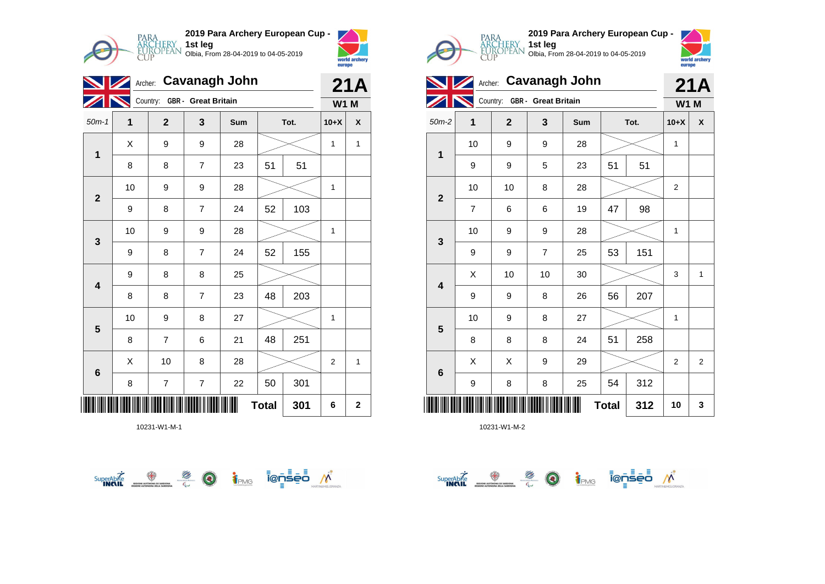

| $\blacksquare$           |             | 21A                          |                         |     |          |      |             |                    |  |
|--------------------------|-------------|------------------------------|-------------------------|-----|----------|------|-------------|--------------------|--|
|                          |             | Country: GBR - Great Britain |                         |     |          |      | <b>W1 M</b> |                    |  |
| $50m-1$                  | $\mathbf 1$ | $\mathbf{2}$                 | 3                       | Sum |          | Tot. | $10+X$      | $\pmb{\mathsf{X}}$ |  |
| $\mathbf{1}$             | X           | 9                            | 9                       | 28  |          |      | 1           | $\mathbf{1}$       |  |
|                          | 8           | 8                            | $\overline{7}$          | 23  | 51<br>51 |      |             |                    |  |
| $\mathbf{2}$             | 10          | 9                            | 9                       | 28  |          |      | 1           |                    |  |
|                          | 9           | 8                            | $\overline{7}$          | 24  | 52       | 103  |             |                    |  |
| 3                        | 10          | 9                            | 9                       | 28  |          |      | 1           |                    |  |
|                          | 9           | 8                            | $\overline{7}$          | 24  | 52       | 155  |             |                    |  |
| $\overline{\mathbf{4}}$  | 9           | 8                            | 8                       | 25  |          |      |             |                    |  |
|                          | 8           | 8                            | $\overline{7}$          | 23  | 48       | 203  |             |                    |  |
| 5                        | 10          | 9                            | 8                       | 27  |          |      | 1           |                    |  |
|                          | 8           | $\overline{7}$               | 6                       | 21  | 48       | 251  |             |                    |  |
| 6                        | X           | 10                           | 8                       | 28  |          |      | 2           | $\mathbf{1}$       |  |
|                          | 8           | $\overline{\mathbf{7}}$      | $\overline{\mathbf{7}}$ | 22  | 50       | 301  |             |                    |  |
| <b>Total</b><br>301<br>6 |             |                              |                         |     |          |      |             |                    |  |







**Archer: Cavanagh John Country: GBR - Great Britain 21A W1 M** 50m-2 **1 2 3 Sum Tot. 10+X X 1** 10 | 9 | 9 | 28 |  $>$  | 1 9 | 9 | 5 | 23 | 51 | 51

Olbia, From 28-04-2019 to 04-05-2019

**1st leg**

| III<br><b>Total</b><br>312 |                          |    |                         |        |    |     |                |                  |
|----------------------------|--------------------------|----|-------------------------|--------|----|-----|----------------|------------------|
| $6\phantom{1}6$            | 9                        | 8  | 8                       | 25     | 54 | 312 |                |                  |
|                            | Χ                        | Χ  | 9                       | 29     |    |     | $\mathbf 2$    | $\boldsymbol{2}$ |
| $\overline{\mathbf{5}}$    | 8                        | 8  | 8                       | 24     | 51 | 258 |                |                  |
|                            | 10                       | 9  | 8                       | 27     |    |     | 1              |                  |
| $\overline{\mathbf{4}}$    | 9                        | 9  | 8                       | 26     | 56 | 207 |                |                  |
|                            | Χ                        | 10 | 10                      | $30\,$ |    |     | 3              | $\mathbf{1}$     |
| $\mathbf 3$                | 9                        | 9  | $\overline{\mathbf{7}}$ | 25     | 53 | 151 |                |                  |
|                            | 10                       | 9  | 9                       | 28     |    |     | 1              |                  |
| $\mathbf 2$                | $\overline{\mathcal{I}}$ | 6  | 6                       | 19     | 47 | 98  |                |                  |
|                            | 10                       | 10 | 8                       | 28     |    |     | $\overline{c}$ |                  |

SuperAble <del>**O**</del> 2 a j<sub>PMG</sub> to see *n*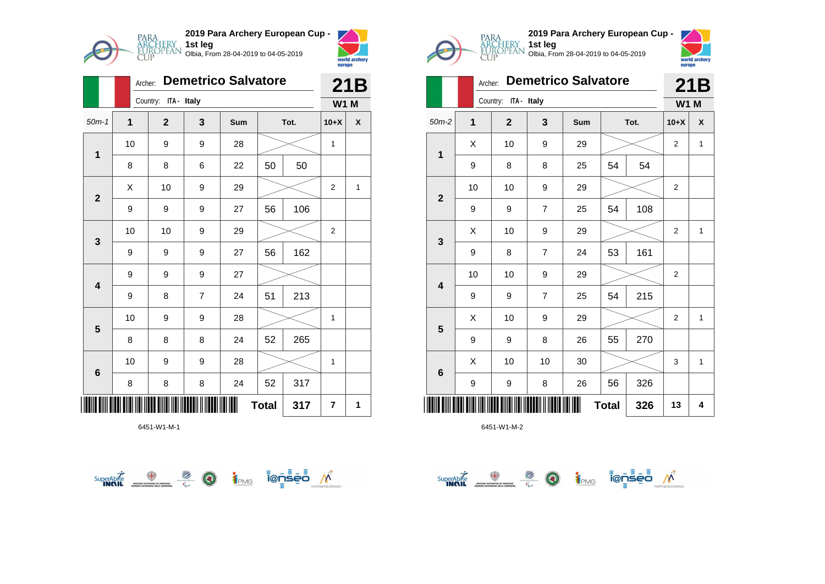

|                         | Archer:                 | <b>Demetrico Salvatore</b> |                | 21B |              |      |                |              |
|-------------------------|-------------------------|----------------------------|----------------|-----|--------------|------|----------------|--------------|
|                         |                         | Country:                   | ITA - Italy    |     |              |      | <b>W1 M</b>    |              |
| $50m-1$                 | $\overline{\mathbf{1}}$ | $\mathbf{2}$               | 3              | Sum |              | Tot. | $10+X$         | X            |
| $\overline{\mathbf{1}}$ | 10                      | 9                          | 9              | 28  |              |      | 1              |              |
|                         | 8                       | 8                          | 6              | 22  | 50           | 50   |                |              |
| $\overline{2}$          | X                       | 10                         | 9              | 29  |              |      | 2              | $\mathbf{1}$ |
|                         | 9                       | 9                          | 9              | 27  | 56           | 106  |                |              |
| $\mathbf{3}$            | 10                      | 10                         | 9              | 29  |              |      | $\overline{2}$ |              |
|                         | 9                       | 9                          | 9              | 27  | 56           | 162  |                |              |
| $\overline{\mathbf{4}}$ | 9                       | 9                          | 9              | 27  |              |      |                |              |
|                         | 9                       | 8                          | $\overline{7}$ | 24  | 51           | 213  |                |              |
| 5                       | 10                      | 9                          | 9              | 28  |              |      | 1              |              |
|                         | 8                       | 8                          | 8              | 24  | 52           | 265  |                |              |
| $\bf 6$                 | 10                      | 9                          | 9              | 28  |              |      | 1              |              |
|                         | 8                       | 8                          | 8              | 24  | 52           | 317  |                |              |
|                         |                         |                            |                |     | <b>Total</b> | 317  | 7              | 1            |







|                         | Archer: | <b>Demetrico Salvatore</b> |                | 21B |              |      |                |              |
|-------------------------|---------|----------------------------|----------------|-----|--------------|------|----------------|--------------|
|                         |         | Country: ITA - Italy       |                |     |              |      | <b>W1 M</b>    |              |
| $50m-2$                 | 1       | $\mathbf{2}$               | 3              | Sum |              | Tot. | $10+X$         | X            |
| 1                       | X       | 10                         | 9              | 29  |              |      | $\overline{2}$ | $\mathbf{1}$ |
|                         | 9       | 8                          | 8              | 25  | 54           | 54   |                |              |
| $\overline{2}$          | 10      | 10                         | 9              | 29  |              |      | $\overline{2}$ |              |
|                         | 9       | 9                          | $\overline{7}$ | 25  | 54           | 108  |                |              |
| 3                       | X       | 10                         | 9              | 29  |              |      | $\overline{2}$ | $\mathbf{1}$ |
|                         | 9       | 8                          | 7              | 24  | 53           | 161  |                |              |
| $\overline{\mathbf{4}}$ | 10      | 10                         | 9              | 29  |              |      | $\overline{2}$ |              |
|                         | 9       | 9                          | $\overline{7}$ | 25  | 54           | 215  |                |              |
|                         | X       | 10                         | 9              | 29  |              |      | $\overline{2}$ | 1            |
| 5                       | 9       | 9                          | 8              | 26  | 55           | 270  |                |              |
|                         | X       | 10                         | 10             | 30  |              |      | 3              | $\mathbf{1}$ |
| $6\phantom{1}6$         | 9       | 9                          | 8              | 26  | 56           | 326  |                |              |
|                         |         |                            |                |     | <b>Total</b> | 326  | 13             | 4            |

**1st leg**

Olbia, From 28-04-2019 to 04-05-2019

 $\overbrace{\text{supexch}}^{\text{Supexch}} \overbrace{\text{supex}}^{\text{opex}} \overbrace{\text{supexch}}^{\text{opex}} \overbrace{\text{supexch}}^{\text{opex}} \overbrace{\text{supexch}}^{\text{opex}} \overbrace{\text{supexch}}^{\text{opex}}$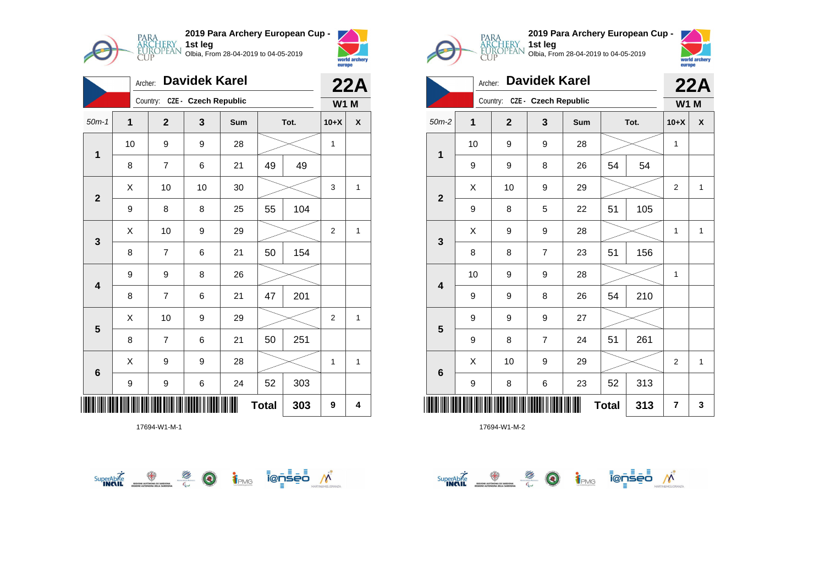

| Davidek Karel<br>Archer: |                         |                               |    |     |    |      |                | 22A          |  |
|--------------------------|-------------------------|-------------------------------|----|-----|----|------|----------------|--------------|--|
|                          |                         | Country: CZE - Czech Republic |    |     |    |      | <b>W1 M</b>    |              |  |
| $50m-1$                  | $\overline{\mathbf{1}}$ | $\overline{2}$                | 3  | Sum |    | Tot. | $10+X$         | X            |  |
| $\mathbf{1}$             | 10                      | 9                             | 9  | 28  |    |      | 1              |              |  |
|                          | 8                       | 7                             | 6  | 21  | 49 | 49   |                |              |  |
| $\mathbf{2}$             | X                       | 10                            | 10 | 30  |    |      | 3              | 1            |  |
|                          | 9                       | 8                             | 8  | 25  | 55 | 104  |                |              |  |
| $\mathbf{3}$             | X                       | 10                            | 9  | 29  |    |      | $\overline{2}$ | $\mathbf{1}$ |  |
|                          | 8                       | $\overline{7}$                | 6  | 21  | 50 | 154  |                |              |  |
| $\overline{\mathbf{4}}$  | 9                       | 9                             | 8  | 26  |    |      |                |              |  |
|                          | 8                       | $\overline{7}$                | 6  | 21  | 47 | 201  |                |              |  |
| 5                        | X                       | 10                            | 9  | 29  |    |      | $\overline{2}$ | 1            |  |
|                          | 8                       | 7                             | 6  | 21  | 50 | 251  |                |              |  |
| $6\phantom{1}6$          | X                       | 9                             | 9  | 28  |    |      | 1              | 1            |  |
|                          | 9                       | 9                             | 6  | 24  | 52 | 303  |                |              |  |
| <b>Total</b><br>303<br>9 |                         |                               |    |     |    |      |                |              |  |







|                         |    | <b>22A</b>   |                      |     |              |      |                |              |
|-------------------------|----|--------------|----------------------|-----|--------------|------|----------------|--------------|
|                         |    | Country:     | CZE - Czech Republic |     |              |      | <b>W1 M</b>    |              |
| $50m-2$                 | 1  | $\mathbf{2}$ | 3                    | Sum |              | Tot. | $10+X$         | X            |
| 1                       | 10 | 9            | 9                    | 28  |              |      | 1              |              |
|                         | 9  | 9            | 8                    | 26  | 54           | 54   |                |              |
| $\overline{2}$          | Χ  | 10           | 9                    | 29  |              |      | $\overline{2}$ | $\mathbf{1}$ |
|                         | 9  | 8            | 5                    | 22  | 51           | 105  |                |              |
| 3                       | Χ  | 9            | 9                    | 28  |              |      | 1              | $\mathbf{1}$ |
|                         | 8  | 8            | $\overline{7}$       | 23  | 51           | 156  |                |              |
| $\overline{\mathbf{4}}$ | 10 | 9            | 9                    | 28  |              |      | 1              |              |
|                         | 9  | 9            | 8                    | 26  | 54           | 210  |                |              |
|                         | 9  | 9            | 9                    | 27  |              |      |                |              |
| $\overline{\mathbf{5}}$ | 9  | 8            | 7                    | 24  | 51           | 261  |                |              |
|                         | X  | 10           | 9                    | 29  |              |      | $\overline{2}$ | $\mathbf{1}$ |
| 6                       | 9  | 8            | 6                    | 23  | 52           | 313  |                |              |
|                         |    |              |                      |     | <b>Total</b> | 313  | 7              | 3            |

SuperAbite SuperAbite SuperAbite SuperAbite SuperAbite SuperAbite SuperApite Super

**1st leg**

Olbia, From 28-04-2019 to 04-05-2019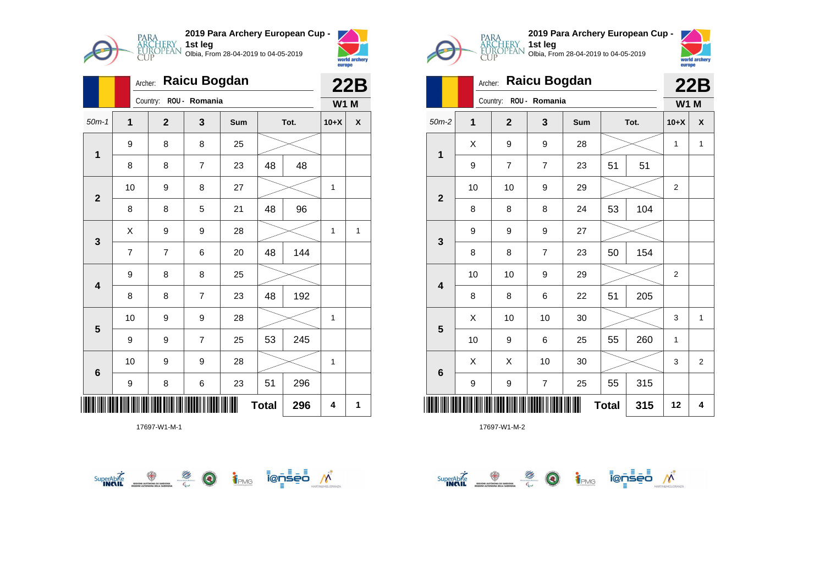

|                         |    | Archer: |                |                | 22B |              |      |             |   |
|-------------------------|----|---------|----------------|----------------|-----|--------------|------|-------------|---|
|                         |    |         | Country:       | ROU - Romania  |     |              |      | <b>W1 M</b> |   |
| $50m-1$                 | 1  |         | $\mathbf{2}$   | 3              | Sum |              | Tot. | $10+X$      | χ |
| $\mathbf 1$             | 9  |         | 8              | 8              | 25  |              |      |             |   |
|                         | 8  |         | 8              | $\overline{7}$ | 23  | 48           | 48   |             |   |
| $\overline{\mathbf{2}}$ | 10 |         | 9              | 8              | 27  |              |      | 1           |   |
|                         | 8  |         | 8              | 5              | 21  | 48           | 96   |             |   |
| 3                       | X  |         | 9              | 9              | 28  |              |      | 1           | 1 |
|                         | 7  |         | $\overline{7}$ | 6              | 20  | 48           | 144  |             |   |
| $\overline{\mathbf{4}}$ | 9  |         | 8              | 8              | 25  |              |      |             |   |
|                         | 8  |         | 8              | $\overline{7}$ | 23  | 48           | 192  |             |   |
| 5                       | 10 |         | 9              | 9              | 28  |              |      | 1           |   |
|                         | 9  |         | 9              | $\overline{7}$ | 25  | 53           | 245  |             |   |
| 6                       | 10 |         | 9              | 9              | 28  |              |      | 1           |   |
|                         | 9  |         | 8              | 6              | 23  | 51           | 296  |             |   |
|                         |    |         |                |                |     | <b>Total</b> | 296  | 4           | 1 |







|                         | Archer: |                        |                | 22B |              |      |                |                |
|-------------------------|---------|------------------------|----------------|-----|--------------|------|----------------|----------------|
|                         |         | Country: ROU - Romania |                |     |              |      | <b>W1 M</b>    |                |
| $50m-2$                 | 1       | $\mathbf{2}$           | 3              | Sum |              | Tot. | $10+X$         | X              |
| $\mathbf 1$             | X       | 9                      | 9              | 28  |              |      | 1              | 1              |
|                         | 9       | $\overline{7}$         | $\overline{7}$ | 23  | 51           | 51   |                |                |
| $\mathbf{2}$            | 10      | 10                     | 9              | 29  |              |      | $\overline{2}$ |                |
|                         | 8       | 8                      | 8              | 24  | 53           | 104  |                |                |
|                         | 9       | 9                      | 9              | 27  |              |      |                |                |
| $\mathbf{3}$            | 8       | 8                      | 7              | 23  | 50           | 154  |                |                |
| $\overline{\mathbf{4}}$ | 10      | 10                     | 9              | 29  |              |      | $\overline{2}$ |                |
|                         | 8       | 8                      | 6              | 22  | 51           | 205  |                |                |
|                         | Χ       | 10                     | 10             | 30  |              |      | 3              | $\mathbf{1}$   |
| 5                       | 10      | 9                      | 6              | 25  | 55           | 260  | 1              |                |
| $\bf 6$                 | X       | X                      | 10             | 30  |              |      | 3              | $\overline{2}$ |
|                         | 9       | 9                      | 7              | 25  | 55           | 315  |                |                |
| Ш                       |         |                        |                |     | <b>Total</b> | 315  | 12             | 4              |

 $\overbrace{\text{supexch}}^{\text{Supexch}} \overbrace{\text{supex}}^{\text{opex}} \overbrace{\text{supexch}}^{\text{opex}} \overbrace{\text{supexch}}^{\text{opex}} \overbrace{\text{supexch}}^{\text{opex}} \overbrace{\text{supexch}}^{\text{opex}}$ 

**1st leg**

Olbia, From 28-04-2019 to 04-05-2019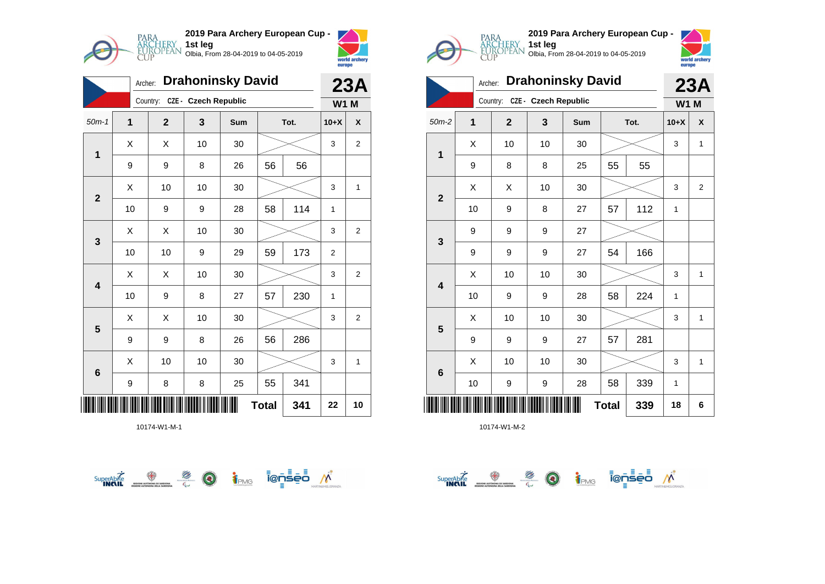

|                         | <b>Drahoninsky David</b><br>Archer: |              |              |     |    |      |        | <b>23A</b>     |  |
|-------------------------|-------------------------------------|--------------|--------------|-----|----|------|--------|----------------|--|
|                         | CZE - Czech Republic<br>Country:    |              |              |     |    |      |        |                |  |
| $50m-1$                 | $\overline{1}$                      | $\mathbf{2}$ | $\mathbf{3}$ | Sum |    | Tot. | $10+X$ | X              |  |
| $\overline{1}$          | X                                   | X            | 10           | 30  |    |      | 3      | $\overline{2}$ |  |
|                         | 9                                   | 9            | 8            | 26  | 56 | 56   |        |                |  |
| $\overline{\mathbf{2}}$ | X                                   | 10           | 10           | 30  |    |      | 3      | 1              |  |
|                         | 10                                  | 9            | 9            | 28  | 58 | 114  | 1      |                |  |
| $\mathbf{3}$            | Χ                                   | X            | 10           | 30  |    |      | 3      | $\overline{2}$ |  |
|                         | 10                                  | 10           | 9            | 29  | 59 | 173  | 2      |                |  |
| 4                       | X                                   | Χ            | 10           | 30  |    |      | 3      | 2              |  |
|                         | 10                                  | 9            | 8            | 27  | 57 | 230  | 1      |                |  |
| 5                       | X                                   | X            | 10           | 30  |    |      | 3      | $\overline{2}$ |  |
|                         | 9                                   | 9            | 8            | 26  | 56 | 286  |        |                |  |
| $6\phantom{1}6$         | X                                   | 10           | 10           | 30  |    |      | 3      | 1              |  |
|                         | 9                                   | 8            | 8            | 25  | 55 | 341  |        |                |  |
| <b>Total</b><br>341     |                                     |              |              |     |    |      | 22     | 10             |  |







|                         | <b>Drahoninsky David</b><br>Archer: |              |    |     |              |             | 23A    |                |
|-------------------------|-------------------------------------|--------------|----|-----|--------------|-------------|--------|----------------|
|                         | Country: CZE - Czech Republic       |              |    |     |              | <b>W1 M</b> |        |                |
| $50m-2$                 | 1                                   | $\mathbf{2}$ | 3  | Sum |              | Tot.        | $10+X$ | X              |
|                         | X                                   | 10           | 10 | 30  |              |             | 3      | 1              |
| 1                       | 9                                   | 8            | 8  | 25  | 55           | 55          |        |                |
| $\overline{\mathbf{2}}$ | X                                   | X            | 10 | 30  |              |             |        | $\overline{2}$ |
|                         | 10                                  | 9            | 8  | 27  | 57           | 112         | 1      |                |
| 3                       | 9                                   | 9            | 9  | 27  |              |             |        |                |
|                         | 9                                   | 9            | 9  | 27  | 54           | 166         |        |                |
| 4                       | X                                   | 10           | 10 | 30  |              |             | 3      | 1              |
|                         | 10                                  | 9            | 9  | 28  | 58           | 224         | 1      |                |
| 5                       | X                                   | 10           | 10 | 30  |              |             | 3      | 1              |
|                         | 9                                   | 9            | 9  | 27  | 57           | 281         |        |                |
| 6                       | X                                   | 10           | 10 | 30  |              |             | 3      | 1              |
|                         | 10                                  | 9            | 9  | 28  | 58           | 339         | 1      |                |
|                         |                                     |              |    |     | <b>Total</b> | 339         | 18     | 6              |

**1st leg**

Olbia, From 28-04-2019 to 04-05-2019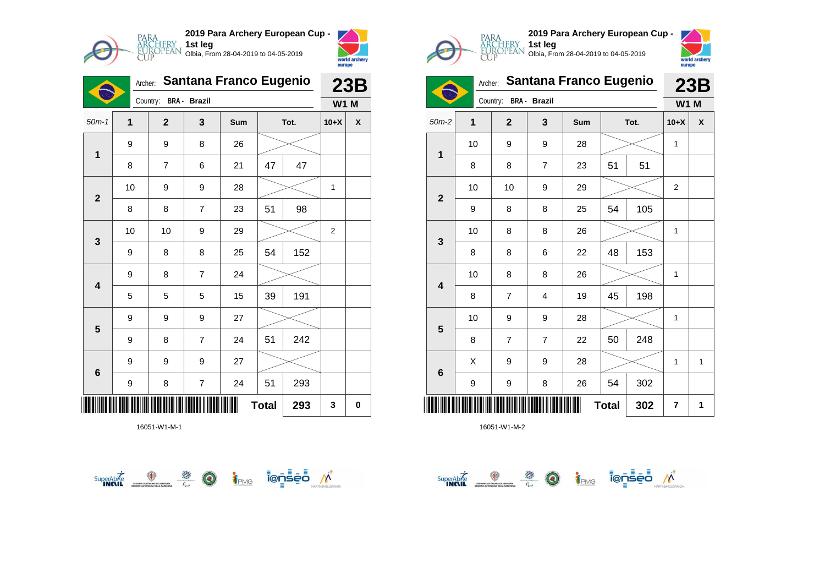

**2019 Para Archery European Cup - 1st leg** Olbia, From 28-04-2019 to 04-05-2019



|                         | <b>Santana Franco Eugenio</b><br>Archer: |              |                         |     |              |      | 23B            |             |  |  |
|-------------------------|------------------------------------------|--------------|-------------------------|-----|--------------|------|----------------|-------------|--|--|
|                         | Country:<br>BRA - Brazil                 |              |                         |     |              |      |                | <b>W1 M</b> |  |  |
| $50m-1$                 | 1                                        | $\mathbf{2}$ | 3                       | Sum |              | Tot. | $10+X$         | χ           |  |  |
| $\overline{\mathbf{1}}$ | 9                                        | 9            | 8                       | 26  |              |      |                |             |  |  |
|                         | 8                                        | 7            | 6                       | 21  | 47           | 47   |                |             |  |  |
| $\mathbf{2}$            | 10                                       | 9            | 9                       | 28  |              |      | 1              |             |  |  |
|                         | 8                                        | 8            | $\overline{7}$          | 23  | 51           | 98   |                |             |  |  |
| $\mathbf{3}$            | 10                                       | 10           | 9                       | 29  |              |      | $\overline{2}$ |             |  |  |
|                         | 9                                        | 8            | 8                       | 25  | 54           | 152  |                |             |  |  |
| $\overline{\mathbf{4}}$ | 9                                        | 8            | 7                       | 24  |              |      |                |             |  |  |
|                         | 5                                        | 5            | 5                       | 15  | 39           | 191  |                |             |  |  |
| 5                       | 9                                        | 9            | 9                       | 27  |              |      |                |             |  |  |
|                         | 9                                        | 8            | $\overline{7}$          | 24  | 51           | 242  |                |             |  |  |
| $6\phantom{1}6$         | 9                                        | 9            | 9                       | 27  |              |      |                |             |  |  |
|                         | 9                                        | 8            | $\overline{\mathbf{7}}$ | 24  | 51           | 293  |                |             |  |  |
|                         |                                          |              |                         |     | <b>Total</b> | 293  | 3              | 0           |  |  |

16051-W1-M-1









Olbia, From 28-04-2019 to 04-05-2019

**1st leg**

| $\mathbf{1}$            | 10 | 9                       | 9                       | 28 |              |     | 1                |   |
|-------------------------|----|-------------------------|-------------------------|----|--------------|-----|------------------|---|
|                         | 8  | 8                       | $\overline{7}$          | 23 | 51           | 51  |                  |   |
| $\mathbf{2}$            | 10 | 10                      | $\boldsymbol{9}$        | 29 |              |     | $\boldsymbol{2}$ |   |
|                         | 9  | 8                       | 8                       | 25 | 54           | 105 |                  |   |
| $\mathbf 3$             | 10 | 8                       | 8                       | 26 |              |     | 1                |   |
|                         | 8  | 8                       | 6                       | 22 | 48           | 153 |                  |   |
| $\overline{\mathbf{4}}$ | 10 | 8                       | 8                       | 26 |              |     | 1                |   |
|                         | 8  | 7                       | 4                       | 19 | 45           | 198 |                  |   |
| $5\phantom{.0}$         | 10 | 9                       | $\boldsymbol{9}$        | 28 |              |     | 1                |   |
|                         | 8  | $\overline{\mathbf{7}}$ | $\overline{\mathbf{7}}$ | 22 | 50           | 248 |                  |   |
| $\bf 6$                 | Χ  | 9                       | $\boldsymbol{9}$        | 28 |              |     | 1                | 1 |
|                         | 9  | 9                       | 8                       | 26 | 54           | 302 |                  |   |
|                         |    |                         |                         | Ш  | <b>Total</b> | 302 | 7                | 1 |

 $\overbrace{\phantom{\mathsf{supp}}^{\mathsf{supp}}\mathsf{A}\mathsf{D}\mathsf{D}}^{\mathsf{supp}}$